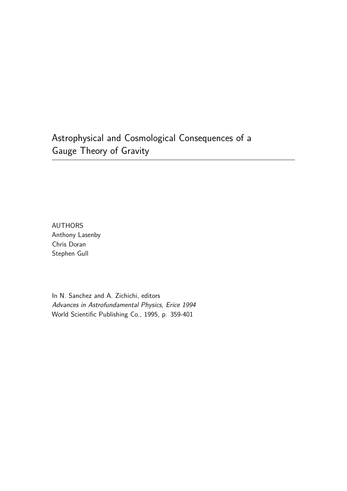Astrophysical and Cosmological Consequences of a Gauge Theory of Gravity

AUTHORS Anthony Lasenby Chris Doran Stephen Gull

In N. Sanchez and A. Zichichi, editors Advances in Astrofundamental Physics, Erice 1994 World Scientific Publishing Co., 1995, p. 359-401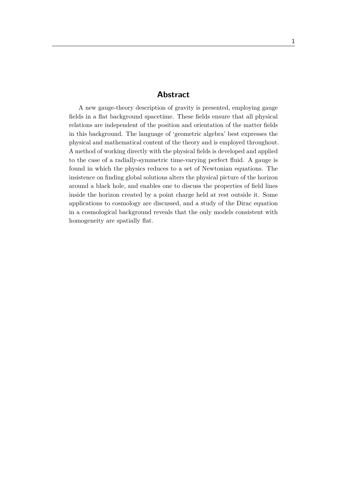### **Abstract**

A new gauge-theory description of gravity is presented, employing gauge fields in a flat background spacetime. These fields ensure that all physical relations are independent of the position and orientation of the matter fields in this background. The language of 'geometric algebra' best expresses the physical and mathematical content of the theory and is employed throughout. A method of working directly with the physical fields is developed and applied to the case of a radially-symmetric time-varying perfect fluid. A gauge is found in which the physics reduces to a set of Newtonian equations. The insistence on finding global solutions alters the physical picture of the horizon around a black hole, and enables one to discuss the properties of field lines inside the horizon created by a point charge held at rest outside it. Some applications to cosmology are discussed, and a study of the Dirac equation in a cosmological background reveals that the only models consistent with homogeneity are spatially flat.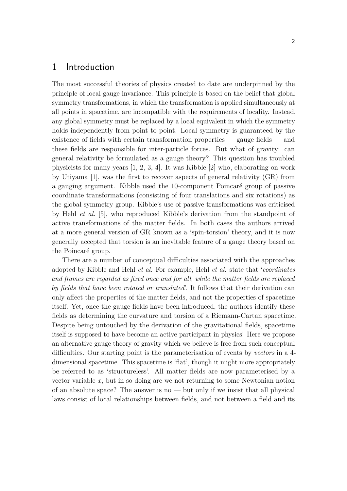### 1 Introduction

The most successful theories of physics created to date are underpinned by the principle of local gauge invariance. This principle is based on the belief that global symmetry transformations, in which the transformation is applied simultaneously at all points in spacetime, are incompatible with the requirements of locality. Instead, any global symmetry must be replaced by a local equivalent in which the symmetry holds independently from point to point. Local symmetry is guaranteed by the existence of fields with certain transformation properties — gauge fields — and these fields are responsible for inter-particle forces. But what of gravity: can general relativity be formulated as a gauge theory? This question has troubled physicists for many years [1, 2, 3, 4]. It was Kibble [2] who, elaborating on work by Utiyama [1], was the first to recover aspects of general relativity (GR) from a gauging argument. Kibble used the 10-component Poincaré group of passive coordinate transformations (consisting of four translations and six rotations) as the global symmetry group. Kibble's use of passive transformations was criticised by Hehl *et al.* [5], who reproduced Kibble's derivation from the standpoint of active transformations of the matter fields. In both cases the authors arrived at a more general version of GR known as a 'spin-torsion' theory, and it is now generally accepted that torsion is an inevitable feature of a gauge theory based on the Poincaré group.

There are a number of conceptual difficulties associated with the approaches adopted by Kibble and Hehl *et al.* For example, Hehl *et al.* state that '*coordinates and frames are regarded as fixed once and for all, while the matter fields are replaced by fields that have been rotated or translated*'. It follows that their derivation can only affect the properties of the matter fields, and not the properties of spacetime itself. Yet, once the gauge fields have been introduced, the authors identify these fields as determining the curvature and torsion of a Riemann-Cartan spacetime. Despite being untouched by the derivation of the gravitational fields, spacetime itself is supposed to have become an active participant in physics! Here we propose an alternative gauge theory of gravity which we believe is free from such conceptual difficulties. Our starting point is the parameterisation of events by *vectors* in a 4 dimensional spacetime. This spacetime is 'flat', though it might more appropriately be referred to as 'structureless'. All matter fields are now parameterised by a vector variable *x*, but in so doing are we not returning to some Newtonian notion of an absolute space? The answer is no  $-$  but only if we insist that all physical laws consist of local relationships between fields, and not between a field and its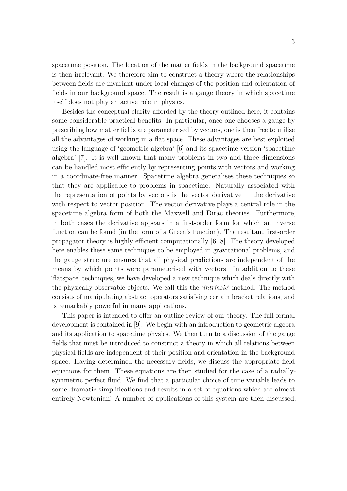spacetime position. The location of the matter fields in the background spacetime is then irrelevant. We therefore aim to construct a theory where the relationships between fields are invariant under local changes of the position and orientation of fields in our background space. The result is a gauge theory in which spacetime itself does not play an active role in physics.

Besides the conceptual clarity afforded by the theory outlined here, it contains some considerable practical benefits. In particular, once one chooses a gauge by prescribing how matter fields are parameterised by vectors, one is then free to utilise all the advantages of working in a flat space. These advantages are best exploited using the language of 'geometric algebra' [6] and its spacetime version 'spacetime algebra' [7]. It is well known that many problems in two and three dimensions can be handled most efficiently by representing points with vectors and working in a coordinate-free manner. Spacetime algebra generalises these techniques so that they are applicable to problems in spacetime. Naturally associated with the representation of points by vectors is the vector derivative  $-$  the derivative with respect to vector position. The vector derivative plays a central role in the spacetime algebra form of both the Maxwell and Dirac theories. Furthermore, in both cases the derivative appears in a first-order form for which an inverse function can be found (in the form of a Green's function). The resultant first-order propagator theory is highly efficient computationally [6, 8]. The theory developed here enables these same techniques to be employed in gravitational problems, and the gauge structure ensures that all physical predictions are independent of the means by which points were parameterised with vectors. In addition to these 'flatspace' techniques, we have developed a new technique which deals directly with the physically-observable objects. We call this the '*intrinsic*' method. The method consists of manipulating abstract operators satisfying certain bracket relations, and is remarkably powerful in many applications.

This paper is intended to offer an outline review of our theory. The full formal development is contained in [9]. We begin with an introduction to geometric algebra and its application to spacetime physics. We then turn to a discussion of the gauge fields that must be introduced to construct a theory in which all relations between physical fields are independent of their position and orientation in the background space. Having determined the necessary fields, we discuss the appropriate field equations for them. These equations are then studied for the case of a radiallysymmetric perfect fluid. We find that a particular choice of time variable leads to some dramatic simplifications and results in a set of equations which are almost entirely Newtonian! A number of applications of this system are then discussed.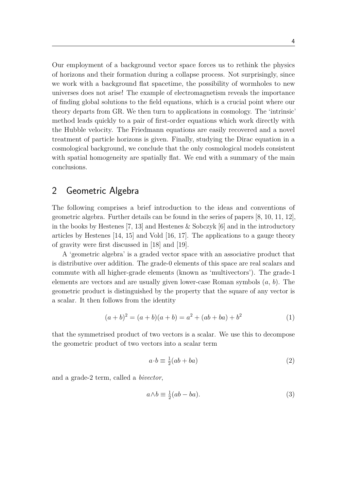Our employment of a background vector space forces us to rethink the physics of horizons and their formation during a collapse process. Not surprisingly, since we work with a background flat spacetime, the possibility of wormholes to new universes does not arise! The example of electromagnetism reveals the importance of finding global solutions to the field equations, which is a crucial point where our theory departs from GR. We then turn to applications in cosmology. The 'intrinsic' method leads quickly to a pair of first-order equations which work directly with the Hubble velocity. The Friedmann equations are easily recovered and a novel treatment of particle horizons is given. Finally, studying the Dirac equation in a cosmological background, we conclude that the only cosmological models consistent with spatial homogeneity are spatially flat. We end with a summary of the main conclusions.

## 2 Geometric Algebra

The following comprises a brief introduction to the ideas and conventions of geometric algebra. Further details can be found in the series of papers [8, 10, 11, 12], in the books by Hestenes [7, 13] and Hestenes & Sobczyk [6] and in the introductory articles by Hestenes [14, 15] and Vold [16, 17]. The applications to a gauge theory of gravity were first discussed in [18] and [19].

A 'geometric algebra' is a graded vector space with an associative product that is distributive over addition. The grade-0 elements of this space are real scalars and commute with all higher-grade elements (known as 'multivectors'). The grade-1 elements are vectors and are usually given lower-case Roman symbols (*a*, *b*). The geometric product is distinguished by the property that the square of any vector is a scalar. It then follows from the identity

$$
(a+b)^2 = (a+b)(a+b) = a^2 + (ab+ba) + b^2
$$
 (1)

that the symmetrised product of two vectors is a scalar. We use this to decompose the geometric product of two vectors into a scalar term

$$
a \cdot b \equiv \frac{1}{2}(ab + ba) \tag{2}
$$

and a grade-2 term, called a *bivector*,

$$
a \wedge b \equiv \frac{1}{2}(ab - ba). \tag{3}
$$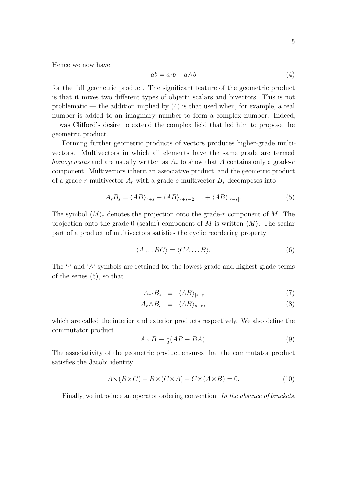Hence we now have

$$
ab = a \cdot b + a \wedge b \tag{4}
$$

for the full geometric product. The significant feature of the geometric product is that it mixes two different types of object: scalars and bivectors. This is not problematic — the addition implied by  $(4)$  is that used when, for example, a real number is added to an imaginary number to form a complex number. Indeed, it was Clifford's desire to extend the complex field that led him to propose the geometric product.

Forming further geometric products of vectors produces higher-grade multivectors. Multivectors in which all elements have the same grade are termed *homogeneous* and are usually written as *A<sup>r</sup>* to show that *A* contains only a grade-*r* component. Multivectors inherit an associative product, and the geometric product of a grade-*r* multivector *A<sup>r</sup>* with a grade-*s* multivector *B<sup>s</sup>* decomposes into

$$
A_r B_s = \langle AB \rangle_{r+s} + \langle AB \rangle_{r+s-2} \dots + \langle AB \rangle_{|r-s|}. \tag{5}
$$

The symbol  $\langle M \rangle_r$  denotes the projection onto the grade-*r* component of *M*. The projection onto the grade-0 (scalar) component of *M* is written  $\langle M \rangle$ . The scalar part of a product of multivectors satisfies the cyclic reordering property

$$
\langle A \dots BC \rangle = \langle CA \dots B \rangle. \tag{6}
$$

The '·' and '∧' symbols are retained for the lowest-grade and highest-grade terms of the series (5), so that

$$
A_r \cdot B_s \equiv \langle AB \rangle_{|s-r|} \tag{7}
$$

$$
A_r \wedge B_s \equiv \langle AB \rangle_{s+r}, \tag{8}
$$

which are called the interior and exterior products respectively. We also define the commutator product

$$
A \times B \equiv \frac{1}{2}(AB - BA). \tag{9}
$$

The associativity of the geometric product ensures that the commutator product satisfies the Jacobi identity

$$
A \times (B \times C) + B \times (C \times A) + C \times (A \times B) = 0.
$$
 (10)

Finally, we introduce an operator ordering convention. *In the absence of brackets,*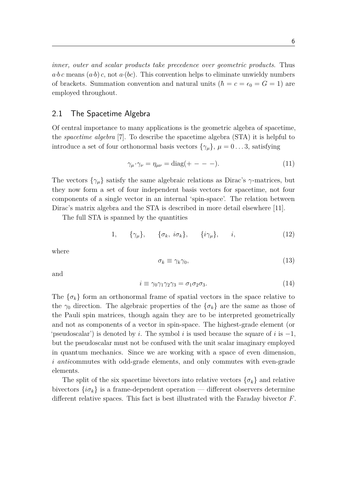*inner, outer and scalar products take precedence over geometric products*. Thus  $a \cdot b c$  means  $(a \cdot b) c$ , not  $a \cdot (bc)$ . This convention helps to eliminate unwieldy numbers of brackets. Summation convention and natural units  $(h = c = \epsilon_0 = G = 1)$  are employed throughout.

#### 2.1 The Spacetime Algebra

Of central importance to many applications is the geometric algebra of spacetime, the *spacetime algebra* [7]. To describe the spacetime algebra (STA) it is helpful to introduce a set of four orthonormal basis vectors  $\{\gamma_\mu\}, \mu = 0 \dots 3$ , satisfying

$$
\gamma_{\mu} \cdot \gamma_{\nu} = \eta_{\mu\nu} = \text{diag}(+ - - -).
$$
 (11)

The vectors  $\{\gamma_\mu\}$  satisfy the same algebraic relations as Dirac's  $\gamma$ -matrices, but they now form a set of four independent basis vectors for spacetime, not four components of a single vector in an internal 'spin-space'. The relation between Dirac's matrix algebra and the STA is described in more detail elsewhere [11].

The full STA is spanned by the quantities

$$
1, \qquad \{\gamma_{\mu}\}, \qquad \{\sigma_k, i\sigma_k\}, \qquad \{i\gamma_{\mu}\}, \qquad i, \tag{12}
$$

where

$$
\sigma_k \equiv \gamma_k \gamma_0,\tag{13}
$$

and

$$
i \equiv \gamma_0 \gamma_1 \gamma_2 \gamma_3 = \sigma_1 \sigma_2 \sigma_3. \tag{14}
$$

The  $\{\sigma_k\}$  form an orthonormal frame of spatial vectors in the space relative to the  $\gamma_0$  direction. The algebraic properties of the  $\{\sigma_k\}$  are the same as those of the Pauli spin matrices, though again they are to be interpreted geometrically and not as components of a vector in spin-space. The highest-grade element (or 'pseudoscalar') is denoted by *i*. The symbol *i* is used because the square of *i* is −1, but the pseudoscalar must not be confused with the unit scalar imaginary employed in quantum mechanics. Since we are working with a space of even dimension, *i anti*commutes with odd-grade elements, and only commutes with even-grade elements.

The split of the six spacetime bivectors into relative vectors  $\{\sigma_k\}$  and relative bivectors  $\{i\sigma_k\}$  is a frame-dependent operation — different observers determine different relative spaces. This fact is best illustrated with the Faraday bivector *F*.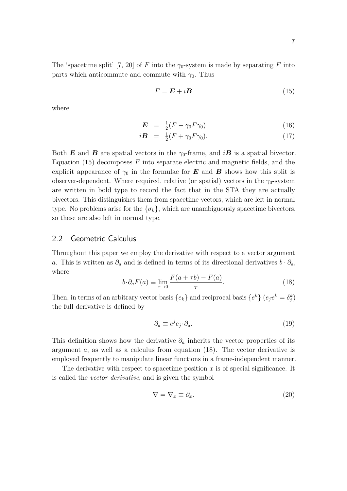The 'spacetime split' [7, 20] of *F* into the  $\gamma_0$ -system is made by separating *F* into parts which anticommute and commute with  $\gamma_0$ . Thus

$$
F = \mathbf{E} + i\mathbf{B} \tag{15}
$$

where

$$
\boldsymbol{E} = \frac{1}{2}(F - \gamma_0 F \gamma_0) \tag{16}
$$

$$
i\boldsymbol{B} = \frac{1}{2}(F + \gamma_0 F \gamma_0). \tag{17}
$$

Both **E** and **B** are spatial vectors in the  $\gamma_0$ -frame, and *iB* is a spatial bivector. Equation (15) decomposes *F* into separate electric and magnetic fields, and the explicit appearance of  $\gamma_0$  in the formulae for **E** and **B** shows how this split is observer-dependent. Where required, relative (or spatial) vectors in the  $\gamma_0$ -system are written in bold type to record the fact that in the STA they are actually bivectors. This distinguishes them from spacetime vectors, which are left in normal type. No problems arise for the  $\{\sigma_k\}$ , which are unambiguously spacetime bivectors, so these are also left in normal type.

#### 2.2 Geometric Calculus

Throughout this paper we employ the derivative with respect to a vector argument *a*. This is written as  $\partial_a$  and is defined in terms of its directional derivatives  $b \cdot \partial_a$ , where

$$
b \cdot \partial_a F(a) \equiv \lim_{\tau \to 0} \frac{F(a + \tau b) - F(a)}{\tau}.
$$
 (18)

Then, in terms of an arbitrary vector basis  $\{e_k\}$  and reciprocal basis  $\{e^k\}$   $(e_j e^k = \delta_j^k)$ the full derivative is defined by

$$
\partial_a \equiv e^j e_j \cdot \partial_a. \tag{19}
$$

This definition shows how the derivative  $\partial_a$  inherits the vector properties of its argument *a*, as well as a calculus from equation (18). The vector derivative is employed frequently to manipulate linear functions in a frame-independent manner.

The derivative with respect to spacetime position  $x$  is of special significance. It is called the *vector derivative*, and is given the symbol

$$
\nabla = \nabla_x \equiv \partial_x. \tag{20}
$$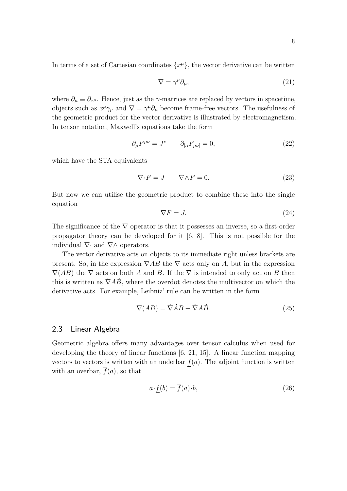In terms of a set of Cartesian coordinates  $\{x^{\mu}\}\,$ , the vector derivative can be written

$$
\nabla = \gamma^{\mu} \partial_{\mu},\tag{21}
$$

where  $\partial_{\mu} \equiv \partial_{x^{\mu}}$ . Hence, just as the  $\gamma$ -matrices are replaced by vectors in spacetime, objects such as  $x^{\mu}\gamma_{\mu}$  and  $\nabla = \gamma^{\mu}\partial_{\mu}$  become frame-free vectors. The usefulness of the geometric product for the vector derivative is illustrated by electromagnetism. In tensor notation, Maxwell's equations take the form

$$
\partial_{\mu}F^{\mu\nu} = J^{\nu} \qquad \partial_{[\alpha}F_{\mu\nu]} = 0, \tag{22}
$$

which have the STA equivalents

$$
\nabla \cdot F = J \qquad \nabla \wedge F = 0. \tag{23}
$$

But now we can utilise the geometric product to combine these into the single equation

$$
\nabla F = J. \tag{24}
$$

The significance of the  $\nabla$  operator is that it possesses an inverse, so a first-order propagator theory can be developed for it [6, 8]. This is not possible for the individual  $\nabla$ · and  $\nabla \wedge$  operators.

The vector derivative acts on objects to its immediate right unless brackets are present. So, in the expression  $\nabla AB$  the  $\nabla$  acts only on *A*, but in the expression  $\nabla(AB)$  the  $\nabla$  acts on both *A* and *B*. If the  $\nabla$  is intended to only act on *B* then this is written as  $\dot{\nabla} \vec{A} \dot{B}$ , where the overdot denotes the multivector on which the derivative acts. For example, Leibniz' rule can be written in the form

$$
\nabla(AB) = \dot{\nabla} \dot{A}B + \dot{\nabla} A\dot{B}.
$$
\n(25)

#### 2.3 Linear Algebra

Geometric algebra offers many advantages over tensor calculus when used for developing the theory of linear functions [6, 21, 15]. A linear function mapping vectors to vectors is written with an underbar  $f(a)$ . The adjoint function is written with an overbar,  $\overline{f}(a)$ , so that

$$
a \cdot f(b) = \overline{f}(a) \cdot b,\tag{26}
$$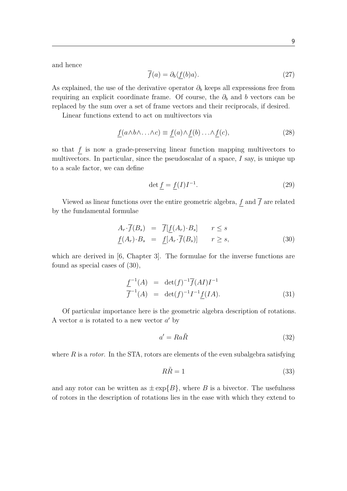and hence

$$
\overline{f}(a) = \partial_b \langle f(b)a \rangle. \tag{27}
$$

As explained, the use of the derivative operator  $\partial_b$  keeps all expressions free from requiring an explicit coordinate frame. Of course, the  $\partial_b$  and *b* vectors can be replaced by the sum over a set of frame vectors and their reciprocals, if desired.

Linear functions extend to act on multivectors via

$$
\underline{f}(a \wedge b \wedge \ldots \wedge c) \equiv \underline{f}(a) \wedge \underline{f}(b) \ldots \wedge \underline{f}(c),\tag{28}
$$

so that *f* is now a grade-preserving linear function mapping multivectors to multivectors. In particular, since the pseudoscalar of a space, *I* say, is unique up to a scale factor, we can define

$$
\det f = f(I)I^{-1}.\tag{29}
$$

Viewed as linear functions over the entire geometric algebra,  $\underline{f}$  and<br>  $\overline{f}$  are related by the fundamental formulae

$$
A_r \cdot \overline{f}(B_s) = \overline{f}[\underline{f}(A_r) \cdot B_s] \qquad r \le s
$$
  

$$
\underline{f}(A_r) \cdot B_s = \underline{f}[A_r \cdot \overline{f}(B_s)] \qquad r \ge s,
$$
 (30)

which are derived in [6, Chapter 3]. The formulae for the inverse functions are found as special cases of (30),

$$
\frac{f^{-1}(A)}{f^{-1}(A)} = \det(f)^{-1} \overline{f}(AI) I^{-1}
$$
\n
$$
\overline{f}^{-1}(A) = \det(f)^{-1} I^{-1} \underline{f}(IA). \tag{31}
$$

Of particular importance here is the geometric algebra description of rotations. A vector  $a$  is rotated to a new vector  $a'$  by

$$
a' = Ra\tilde{R}
$$
 (32)

where *R* is a *rotor*. In the STA, rotors are elements of the even subalgebra satisfying

$$
R\tilde{R} = 1\tag{33}
$$

and any rotor can be written as  $\pm \exp\{B\}$ , where *B* is a bivector. The usefulness of rotors in the description of rotations lies in the ease with which they extend to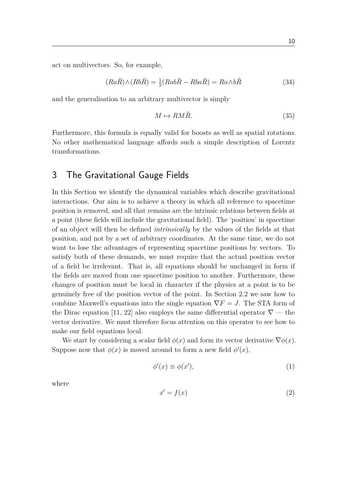act on multivectors. So, for example,

$$
(Ra\tilde{R}) \wedge (Rb\tilde{R}) = \frac{1}{2}(Ra b\tilde{R} - Rba\tilde{R}) = Ra \wedge b\tilde{R}
$$
\n(34)

and the generalisation to an arbitrary multivector is simply

$$
M \mapsto RM\tilde{R}.\tag{35}
$$

Furthermore, this formula is equally valid for boosts as well as spatial rotations. No other mathematical language affords such a simple description of Lorentz transformations.

### 3 The Gravitational Gauge Fields

In this Section we identify the dynamical variables which describe gravitational interactions. Our aim is to achieve a theory in which all reference to spacetime position is removed, and all that remains are the intrinsic relations between fields at a point (these fields will include the gravitational field). The 'position' in spacetime of an object will then be defined *intrinsically* by the values of the fields at that position, and not by a set of arbitrary coordinates. At the same time, we do not want to lose the advantages of representing spacetime positions by vectors. To satisfy both of these demands, we must require that the actual position vector of a field be irrelevant. That is, all equations should be unchanged in form if the fields are moved from one spacetime position to another. Furthermore, these changes of position must be local in character if the physics at a point is to be genuinely free of the position vector of the point. In Section 2.2 we saw how to combine Maxwell's equations into the single equation  $\nabla F = J$ . The STA form of the Dirac equation [11, 22] also employs the same differential operator  $\nabla$  — the vector derivative. We must therefore focus attention on this operator to see how to make our field equations local.

We start by considering a scalar field  $\phi(x)$  and form its vector derivative  $\nabla \phi(x)$ . Suppose now that  $\phi(x)$  is moved around to form a new field  $\phi'(x)$ ,

$$
\phi'(x) \equiv \phi(x'),\tag{1}
$$

where

$$
x' = f(x) \tag{2}
$$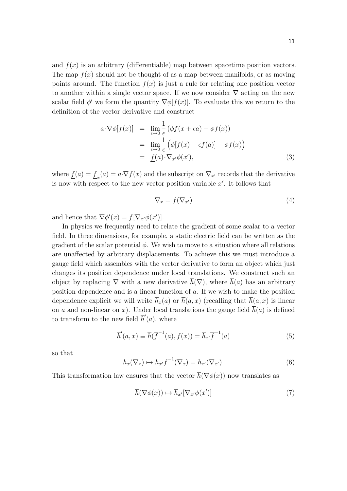and  $f(x)$  is an arbitrary (differentiable) map between spacetime position vectors. The map  $f(x)$  should not be thought of as a map between manifolds, or as moving points around. The function  $f(x)$  is just a rule for relating one position vector to another within a single vector space. If we now consider  $\nabla$  acting on the new scalar field  $\phi'$  we form the quantity  $\nabla \phi[f(x)]$ . To evaluate this we return to the definition of the vector derivative and construct

$$
a \cdot \nabla \phi[f(x)] = \lim_{\epsilon \to 0} \frac{1}{\epsilon} (\phi f(x + \epsilon a) - \phi f(x))
$$
  
= 
$$
\lim_{\epsilon \to 0} \frac{1}{\epsilon} (\phi[f(x) + \epsilon \underline{f}(a)] - \phi f(x))
$$
  
= 
$$
\underline{f}(a) \cdot \nabla_{x'} \phi(x'),
$$
 (3)

where  $\underline{f}(a) = \underline{f}_x(a) = a \cdot \nabla f(x)$  and the subscript on  $\nabla_{x'}$  records that the derivative is now with respect to the new vector position variable  $x'$ . It follows that

$$
\nabla_x = \overline{f}(\nabla_{x'}) \tag{4}
$$

and hence that  $\nabla \phi'(x) = \overline{f}[\nabla_{x'}\phi(x')]$ .

In physics we frequently need to relate the gradient of some scalar to a vector field. In three dimensions, for example, a static electric field can be written as the gradient of the scalar potential  $\phi$ . We wish to move to a situation where all relations are unaffected by arbitrary displacements. To achieve this we must introduce a gauge field which assembles with the vector derivative to form an object which just changes its position dependence under local translations. We construct such an object by replacing  $\nabla$  with a new derivative  $\overline{h}(\nabla)$ , where  $\overline{h}(a)$  has an arbitrary position dependence and is a linear function of *a*. If we wish to make the position dependence explicit we will write  $\overline{h}_x(a)$  or  $\overline{h}(a, x)$  (recalling that  $\overline{h}(a, x)$  is linear on *a* and non-linear on *x*). Under local translations the gauge field  $\overline{h}(a)$  is defined to transform to the new field  $\overline{h}'(a)$ , where

$$
\overline{h}'(a,x) \equiv \overline{h}(\overline{f}^{-1}(a),f(x)) = \overline{h}_{x'}\overline{f}^{-1}(a)
$$
\n(5)

so that

$$
\overline{h}_x(\nabla_x) \mapsto \overline{h}_{x'} \overline{f}^{-1}(\nabla_x) = \overline{h}_{x'}(\nabla_{x'}).
$$
\n(6)

This transformation law ensures that the vector  $\bar{h}(\nabla \phi(x))$  now translates as

$$
\overline{h}(\nabla\phi(x)) \mapsto \overline{h}_{x'}[\nabla_{x'}\phi(x')]
$$
\n(7)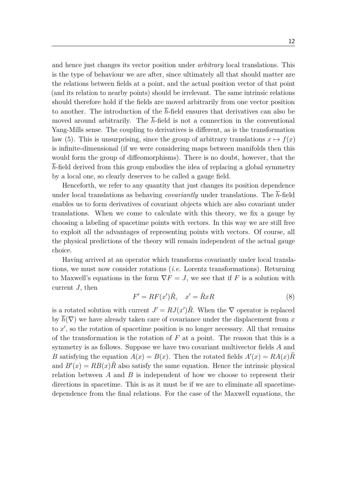and hence just changes its vector position under *arbitrary* local translations. This is the type of behaviour we are after, since ultimately all that should matter are the relations between fields at a point, and the actual position vector of that point (and its relation to nearby points) should be irrelevant. The same intrinsic relations should therefore hold if the fields are moved arbitrarily from one vector position to another. The introduction of the  $\bar{h}$ -field ensures that derivatives can also be moved around arbitrarily. The  $\bar{h}$ -field is not a connection in the conventional Yang-Mills sense. The coupling to derivatives is different, as is the transformation law (5). This is unsurprising, since the group of arbitrary translations  $x \mapsto f(x)$ is infinite-dimensional (if we were considering maps between manifolds then this would form the group of diffeomorphisms). There is no doubt, however, that the *h*-field derived from this group embodies the idea of replacing a global symmetry by a local one, so clearly deserves to be called a gauge field.

Henceforth, we refer to any quantity that just changes its position dependence under local translations as behaving *covariantly* under translations. The *h*-field enables us to form derivatives of covariant objects which are also covariant under translations. When we come to calculate with this theory, we fix a gauge by choosing a labeling of spacetime points with vectors. In this way we are still free to exploit all the advantages of representing points with vectors. Of course, all the physical predictions of the theory will remain independent of the actual gauge choice.

Having arrived at an operator which transforms covariantly under local translations, we must now consider rotations (*i.e.* Lorentz transformations). Returning to Maxwell's equations in the form  $\nabla F = J$ , we see that if *F* is a solution with current *J*, then

$$
F' = RF(x')\tilde{R}, \quad x' = \tilde{R}xR
$$
\n(8)

is a rotated solution with current  $J' = RJ(x')\tilde{R}$ . When the  $\nabla$  operator is replaced by  $\bar{h}(\nabla)$  we have already taken care of covariance under the displacement from x to  $x'$ , so the rotation of spacetime position is no longer necessary. All that remains of the transformation is the rotation of *F* at a point. The reason that this is a symmetry is as follows. Suppose we have two covariant multivector fields *A* and *B* satisfying the equation  $A(x) = B(x)$ . Then the rotated fields  $A'(x) = RA(x)\tilde{R}$ and  $B'(x) = RB(x)\tilde{R}$  also satisfy the same equation. Hence the intrinsic physical relation between *A* and *B* is independent of how we choose to represent their directions in spacetime. This is as it must be if we are to eliminate all spacetimedependence from the final relations. For the case of the Maxwell equations, the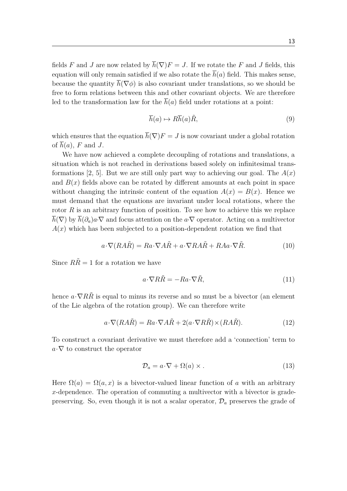fields *F* and *J* are now related by  $\overline{h}(\nabla)F = J$ . If we rotate the *F* and *J* fields, this equation will only remain satisfied if we also rotate the  $\bar{h}(a)$  field. This makes sense, because the quantity  $\bar{h}(\nabla\phi)$  is also covariant under translations, so we should be free to form relations between this and other covariant objects. We are therefore led to the transformation law for the  $\overline{h}(a)$  field under rotations at a point:

$$
\overline{h}(a) \mapsto R\overline{h}(a)\tilde{R},\tag{9}
$$

which ensures that the equation  $\overline{h}(\nabla)F = J$  is now covariant under a global rotation of  $\overline{h}(a)$ , F and J.

We have now achieved a complete decoupling of rotations and translations, a situation which is not reached in derivations based solely on infinitesimal transformations [2, 5]. But we are still only part way to achieving our goal. The  $A(x)$ and  $B(x)$  fields above can be rotated by different amounts at each point in space without changing the intrinsic content of the equation  $A(x) = B(x)$ . Hence we must demand that the equations are invariant under local rotations, where the rotor  $R$  is an arbitrary function of position. To see how to achieve this we replace  $\overline{h}(\nabla)$  by  $\overline{h}(\partial_a)a\cdot\nabla$  and focus attention on the  $a\cdot\nabla$  operator. Acting on a multivector  $A(x)$  which has been subjected to a position-dependent rotation we find that

$$
a \cdot \nabla (RA\tilde{R}) = Ra \cdot \nabla A\tilde{R} + a \cdot \nabla RA\tilde{R} + RAa \cdot \nabla \tilde{R}.
$$
 (10)

Since  $R\tilde{R} = 1$  for a rotation we have

$$
a \cdot \nabla R \tilde{R} = -Ra \cdot \nabla \tilde{R},\tag{11}
$$

hence  $a \cdot \nabla R\tilde{R}$  is equal to minus its reverse and so must be a bivector (an element of the Lie algebra of the rotation group). We can therefore write

$$
a \cdot \nabla (RA\tilde{R}) = Ra \cdot \nabla A\tilde{R} + 2(a \cdot \nabla R\tilde{R}) \times (RA\tilde{R}).
$$
\n(12)

To construct a covariant derivative we must therefore add a 'connection' term to  $a \cdot \nabla$  to construct the operator

$$
\mathcal{D}_a = a \cdot \nabla + \Omega(a) \times . \tag{13}
$$

Here  $\Omega(a) = \Omega(a, x)$  is a bivector-valued linear function of a with an arbitrary *x*-dependence. The operation of commuting a multivector with a bivector is gradepreserving. So, even though it is not a scalar operator, D*<sup>a</sup>* preserves the grade of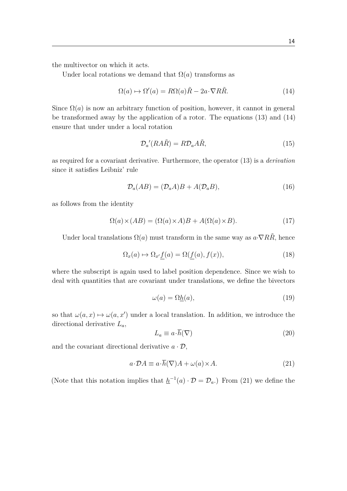the multivector on which it acts.

Under local rotations we demand that  $\Omega(a)$  transforms as

$$
\Omega(a) \mapsto \Omega'(a) = R\Omega(a)\tilde{R} - 2a \cdot \nabla R\tilde{R}.
$$
\n(14)

Since  $\Omega(a)$  is now an arbitrary function of position, however, it cannot in general be transformed away by the application of a rotor. The equations (13) and (14) ensure that under under a local rotation

$$
\mathcal{D}_a'(RA\tilde{R}) = R\mathcal{D}_a A\tilde{R},\tag{15}
$$

as required for a covariant derivative. Furthermore, the operator (13) is a *derivation* since it satisfies Leibniz' rule

$$
\mathcal{D}_a(AB) = (\mathcal{D}_a A)B + A(\mathcal{D}_a B),\tag{16}
$$

as follows from the identity

$$
\Omega(a) \times (AB) = (\Omega(a) \times A)B + A(\Omega(a) \times B). \tag{17}
$$

Under local translations  $\Omega(a)$  must transform in the same way as  $a \cdot \nabla RR$ , hence

$$
\Omega_x(a) \mapsto \Omega_{x'} \underline{f}(a) = \Omega(\underline{f}(a), f(x)),\tag{18}
$$

where the subscript is again used to label position dependence. Since we wish to deal with quantities that are covariant under translations, we define the bivectors

$$
\omega(a) = \Omega \underline{h}(a),\tag{19}
$$

so that  $\omega(a, x) \mapsto \omega(a, x')$  under a local translation. In addition, we introduce the directional derivative *La*,

$$
L_a \equiv a \cdot \overline{h}(\nabla) \tag{20}
$$

and the covariant directional derivative  $a \cdot \mathcal{D}$ ,

$$
a \cdot \mathcal{D}A \equiv a \cdot \overline{h}(\nabla)A + \omega(a) \times A. \tag{21}
$$

(Note that this notation implies that  $h^{-1}(a) \cdot \mathcal{D} = \mathcal{D}_a$ .) From (21) we define the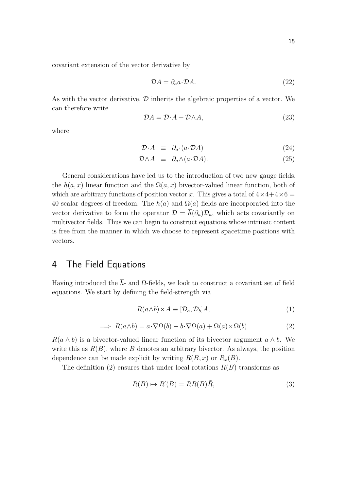covariant extension of the vector derivative by

$$
\mathcal{D}A = \partial_a a \cdot \mathcal{D}A. \tag{22}
$$

As with the vector derivative,  $\mathcal D$  inherits the algebraic properties of a vector. We can therefore write

$$
\mathcal{D}A = \mathcal{D} \cdot A + \mathcal{D} \wedge A,\tag{23}
$$

where

$$
\mathcal{D} \cdot A \equiv \partial_a \cdot (a \cdot \mathcal{D}A) \tag{24}
$$

$$
\mathcal{D} \wedge A \equiv \partial_a \wedge (a \cdot \mathcal{D} A). \tag{25}
$$

General considerations have led us to the introduction of two new gauge fields, the  $\overline{h}(a, x)$  linear function and the  $\Omega(a, x)$  bivector-valued linear function, both of which are arbitrary functions of position vector *x*. This gives a total of  $4 \times 4 + 4 \times 6 =$ 40 scalar degrees of freedom. The  $\bar{h}(a)$  and  $\Omega(a)$  fields are incorporated into the vector derivative to form the operator  $\mathcal{D} = \bar{h}(\partial_a)\mathcal{D}_a$ , which acts covariantly on multivector fields. Thus we can begin to construct equations whose intrinsic content is free from the manner in which we choose to represent spacetime positions with vectors.

### 4 The Field Equations

Having introduced the  $\overline{h}$ - and  $\Omega$ -fields, we look to construct a covariant set of field equations. We start by defining the field-strength via

$$
R(a \wedge b) \times A \equiv [\mathcal{D}_a, \mathcal{D}_b]A,\tag{1}
$$

$$
\implies R(a \wedge b) = a \cdot \nabla \Omega(b) - b \cdot \nabla \Omega(a) + \Omega(a) \times \Omega(b). \tag{2}
$$

 $R(a \wedge b)$  is a bivector-valued linear function of its bivector argument  $a \wedge b$ . We write this as  $R(B)$ , where *B* denotes an arbitrary bivector. As always, the position dependence can be made explicit by writing  $R(B, x)$  or  $R_x(B)$ .

The definition (2) ensures that under local rotations  $R(B)$  transforms as

$$
R(B) \mapsto R'(B) = RR(B)\tilde{R},\tag{3}
$$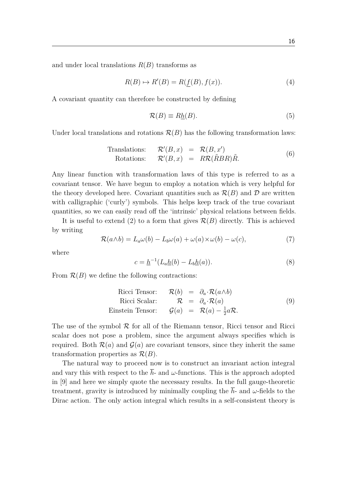and under local translations  $R(B)$  transforms as

$$
R(B) \mapsto R'(B) = R(f(B), f(x)).
$$
\n(4)

A covariant quantity can therefore be constructed by defining

$$
\mathcal{R}(B) \equiv R\underline{h}(B). \tag{5}
$$

Under local translations and rotations  $\mathcal{R}(B)$  has the following transformation laws:

Translations: 
$$
\mathcal{R}'(B, x) = \mathcal{R}(B, x')
$$
  
Rotations:  $\mathcal{R}'(B, x) = R\mathcal{R}(\tilde{R}BR)\tilde{R}$ . (6)

Any linear function with transformation laws of this type is referred to as a covariant tensor. We have begun to employ a notation which is very helpful for the theory developed here. Covariant quantities such as  $\mathcal{R}(B)$  and D are written with calligraphic ('curly') symbols. This helps keep track of the true covariant quantities, so we can easily read off the 'intrinsic' physical relations between fields.

It is useful to extend (2) to a form that gives  $\mathcal{R}(B)$  directly. This is achieved by writing

$$
\mathcal{R}(a \wedge b) = L_a \omega(b) - L_b \omega(a) + \omega(a) \times \omega(b) - \omega(c), \tag{7}
$$

where

$$
c = \underline{h}^{-1}(L_a \underline{h}(b) - L_b \underline{h}(a)).
$$
\n(8)

From  $\mathcal{R}(B)$  we define the following contractions:

Ricci Tensor: 
$$
\mathcal{R}(b) = \partial_a \cdot \mathcal{R}(a \wedge b)
$$
  
\nRicci Scalar:  $\mathcal{R} = \partial_a \cdot \mathcal{R}(a)$   
\nEinstein Tensor:  $\mathcal{G}(a) = \mathcal{R}(a) - \frac{1}{2}a\mathcal{R}$ . (9)

The use of the symbol  $R$  for all of the Riemann tensor, Ricci tensor and Ricci scalar does not pose a problem, since the argument always specifies which is required. Both  $\mathcal{R}(a)$  and  $\mathcal{G}(a)$  are covariant tensors, since they inherit the same transformation properties as  $\mathcal{R}(B)$ .

The natural way to proceed now is to construct an invariant action integral and vary this with respect to the  $\bar{h}$ - and  $\omega$ -functions. This is the approach adopted in [9] and here we simply quote the necessary results. In the full gauge-theoretic treatment, gravity is introduced by minimally coupling the  $\bar{h}$ - and  $\omega$ -fields to the Dirac action. The only action integral which results in a self-consistent theory is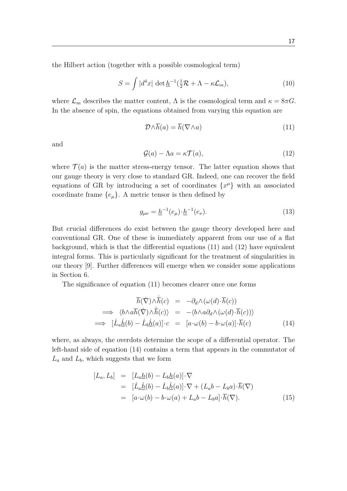the Hilbert action (together with a possible cosmological term)

$$
S = \int |d^4x| \det \underline{h}^{-1}(\frac{1}{2}\mathcal{R} + \Lambda - \kappa \mathcal{L}_m), \tag{10}
$$

where  $\mathcal{L}_m$  describes the matter content,  $\Lambda$  is the cosmological term and  $\kappa = 8\pi G$ . In the absence of spin, the equations obtained from varying this equation are

$$
\mathcal{D}\wedge\overline{h}(a) = \overline{h}(\nabla\wedge a) \tag{11}
$$

and

$$
\mathcal{G}(a) - \Lambda a = \kappa \mathcal{T}(a),\tag{12}
$$

where  $\mathcal{T}(a)$  is the matter stress-energy tensor. The latter equation shows that our gauge theory is very close to standard GR. Indeed, one can recover the field equations of GR by introducing a set of coordinates  $\{x^{\mu}\}\$  with an associated coordinate frame  ${e_{\mu}}$ . A metric tensor is then defined by

$$
g_{\mu\nu} = \underline{h}^{-1}(e_{\mu}) \cdot \underline{h}^{-1}(e_{\nu}).
$$
\n(13)

But crucial differences do exist between the gauge theory developed here and conventional GR. One of these is immediately apparent from our use of a flat background, which is that the differential equations (11) and (12) have equivalent integral forms. This is particularly significant for the treatment of singularities in our theory [9]. Further differences will emerge when we consider some applications in Section 6.

The significance of equation (11) becomes clearer once one forms

$$
\overline{h}(\dot{\nabla}) \wedge \dot{\overline{h}}(c) = -\partial_d \wedge (\omega(d) \cdot \overline{h}(c))
$$
\n
$$
\implies \langle b \wedge a\overline{h}(\dot{\nabla}) \wedge \dot{\overline{h}}(c) \rangle = -\langle b \wedge a\partial_d \wedge (\omega(d) \cdot \overline{h}(c)) \rangle
$$
\n
$$
\implies [\dot{L}_a \dot{\underline{h}}(b) - \dot{L}_b \dot{\underline{h}}(a)] \cdot c = [a \cdot \omega(b) - b \cdot \omega(a)] \cdot \overline{h}(c) \tag{14}
$$

where, as always, the overdots determine the scope of a differential operator. The left-hand side of equation (14) contains a term that appears in the commutator of  $L_a$  and  $L_b$ , which suggests that we form

$$
[L_a, L_b] = [L_a \underline{h}(b) - L_b \underline{h}(a)] \cdot \nabla
$$
  
= 
$$
[\dot{L}_a \dot{\underline{h}}(b) - \dot{L}_b \dot{\underline{h}}(a)] \cdot \nabla + (L_a b - L_b a) \cdot \overline{h}(\nabla)
$$
  
= 
$$
[a \cdot \omega(b) - b \cdot \omega(a) + L_a b - L_b a] \cdot \overline{h}(\nabla).
$$
 (15)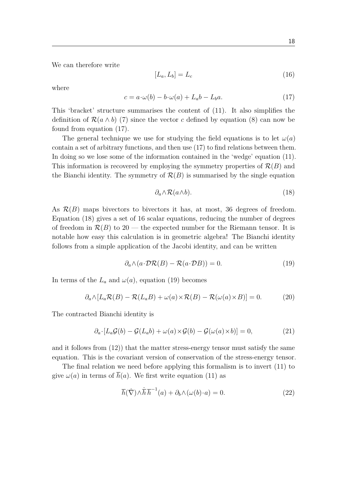We can therefore write

$$
[L_a, L_b] = L_c \tag{16}
$$

where

$$
c = a \cdot \omega(b) - b \cdot \omega(a) + L_a b - L_b a. \tag{17}
$$

This 'bracket' structure summarises the content of (11). It also simplifies the definition of  $\mathcal{R}(a \wedge b)$  (7) since the vector *c* defined by equation (8) can now be found from equation (17).

The general technique we use for studying the field equations is to let  $\omega(a)$ contain a set of arbitrary functions, and then use (17) to find relations between them. In doing so we lose some of the information contained in the 'wedge' equation (11). This information is recovered by employing the symmetry properties of  $\mathcal{R}(B)$  and the Bianchi identity. The symmetry of  $\mathcal{R}(B)$  is summarised by the single equation

$$
\partial_a \wedge \mathcal{R}(a \wedge b). \tag{18}
$$

As  $\mathcal{R}(B)$  maps bivectors to bivectors it has, at most, 36 degrees of freedom. Equation (18) gives a set of 16 scalar equations, reducing the number of degrees of freedom in  $\mathcal{R}(B)$  to 20 — the expected number for the Riemann tensor. It is notable how easy this calculation is in geometric algebra! The Bianchi identity follows from a simple application of the Jacobi identity, and can be written

$$
\partial_a \wedge (a \cdot \mathcal{DR}(B) - \mathcal{R}(a \cdot \mathcal{DB})) = 0. \tag{19}
$$

In terms of the  $L_a$  and  $\omega(a)$ , equation (19) becomes

$$
\partial_a \wedge [L_a \mathcal{R}(B) - \mathcal{R}(L_a B) + \omega(a) \times \mathcal{R}(B) - \mathcal{R}(\omega(a) \times B)] = 0. \tag{20}
$$

The contracted Bianchi identity is

$$
\partial_a \cdot [L_a \mathcal{G}(b) - \mathcal{G}(L_a b) + \omega(a) \times \mathcal{G}(b) - \mathcal{G}(\omega(a) \times b)] = 0, \tag{21}
$$

and it follows from (12)) that the matter stress-energy tensor must satisfy the same equation. This is the covariant version of conservation of the stress-energy tensor.

The final relation we need before applying this formalism is to invert (11) to give  $\omega(a)$  in terms of  $\overline{h}(a)$ . We first write equation (11) as

$$
\overline{h}(\dot{\nabla}) \wedge \dot{\overline{h}} \overline{h}^{-1}(a) + \partial_b \wedge (\omega(b) \cdot a) = 0.
$$
 (22)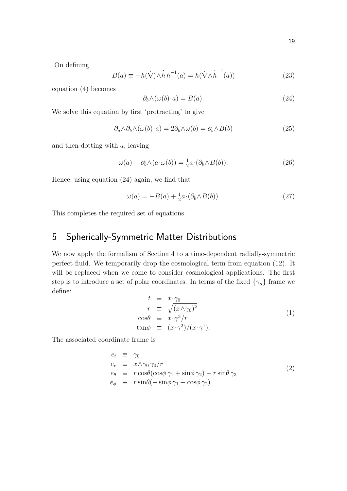On defining

$$
B(a) \equiv -\overline{h}(\dot{\nabla}) \wedge \dot{\overline{h}} \overline{h}^{-1}(a) = \overline{h}(\dot{\nabla} \wedge \dot{\overline{h}}^{-1}(a))
$$
\n(23)

equation (4) becomes

$$
\partial_b \wedge (\omega(b) \cdot a) = B(a). \tag{24}
$$

We solve this equation by first 'protracting' to give

$$
\partial_a \wedge \partial_b \wedge (\omega(b) \cdot a) = 2\partial_b \wedge \omega(b) = \partial_b \wedge B(b) \tag{25}
$$

and then dotting with *a*, leaving

$$
\omega(a) - \partial_b \wedge (a \cdot \omega(b)) = \frac{1}{2}a \cdot (\partial_b \wedge B(b)). \tag{26}
$$

Hence, using equation (24) again, we find that

$$
\omega(a) = -B(a) + \frac{1}{2}a \cdot (\partial_b \wedge B(b)). \tag{27}
$$

This completes the required set of equations.

# 5 Spherically-Symmetric Matter Distributions

We now apply the formalism of Section 4 to a time-dependent radially-symmetric perfect fluid. We temporarily drop the cosmological term from equation (12). It will be replaced when we come to consider cosmological applications. The first step is to introduce a set of polar coordinates. In terms of the fixed  $\{\gamma_\mu\}$  frame we define:

$$
t \equiv x \cdot \gamma_0
$$
  
\n
$$
r \equiv \sqrt{(x \wedge \gamma_0)^2}
$$
  
\n
$$
\cos \theta \equiv x \cdot \gamma^3 / r
$$
  
\n
$$
\tan \phi \equiv (x \cdot \gamma^2) / (x \cdot \gamma^1).
$$
\n(1)

The associated coordinate frame is

$$
e_t \equiv \gamma_0 \n e_r \equiv x \wedge \gamma_0 \gamma_0 / r \n e_\theta \equiv r \cos \theta (\cos \phi \gamma_1 + \sin \phi \gamma_2) - r \sin \theta \gamma_3 \n e_\phi \equiv r \sin \theta (- \sin \phi \gamma_1 + \cos \phi \gamma_2)
$$
\n(2)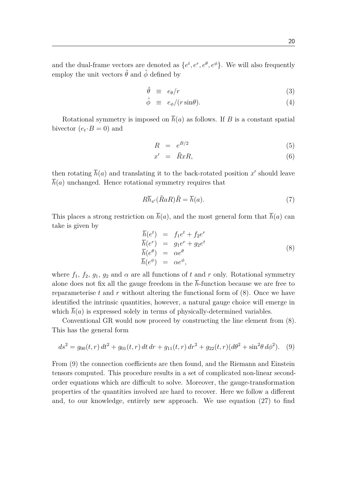and the dual-frame vectors are denoted as  $\{e^t, e^r, e^{\theta}, e^{\phi}\}$ . We will also frequently employ the unit vectors  $\hat{\theta}$  and  $\hat{\phi}$  defined by

$$
\hat{\theta} \equiv e_{\theta}/r \tag{3}
$$

$$
\hat{\phi} \equiv e_{\phi}/(r\sin\theta). \tag{4}
$$

Rotational symmetry is imposed on  $\bar{h}(a)$  as follows. If *B* is a constant spatial bivector  $(e_t \cdot B = 0)$  and

$$
R = e^{B/2} \tag{5}
$$

$$
x' = \tilde{R}xR, \tag{6}
$$

then rotating  $\overline{h}(a)$  and translating it to the back-rotated position  $x'$  should leave  $\bar{h}(a)$  unchanged. Hence rotational symmetry requires that

$$
R\overline{h}_{x'}(\tilde{R}aR)\tilde{R} = \overline{h}(a). \tag{7}
$$

This places a strong restriction on  $\bar{h}(a)$ , and the most general form that  $\bar{h}(a)$  can take is given by

$$
\begin{array}{rcl}\n\overline{h}(e^t) & = & f_1 e^t + f_2 e^r \\
\overline{h}(e^r) & = & g_1 e^r + g_2 e^t \\
\overline{h}(e^\theta) & = & \alpha e^\theta \\
\overline{h}(e^\phi) & = & \alpha e^\phi,\n\end{array} \tag{8}
$$

where  $f_1$ ,  $f_2$ ,  $g_1$ ,  $g_2$  and  $\alpha$  are all functions of t and r only. Rotational symmetry alone does not fix all the gauge freedom in the  $\bar{h}$ -function because we are free to reparameterise  $t$  and  $r$  without altering the functional form of  $(8)$ . Once we have identified the intrinsic quantities, however, a natural gauge choice will emerge in which  $h(a)$  is expressed solely in terms of physically-determined variables.

Conventional GR would now proceed by constructing the line element from (8). This has the general form

$$
ds^{2} = g_{00}(t, r) dt^{2} + g_{01}(t, r) dt dr + g_{11}(t, r) dr^{2} + g_{22}(t, r) (d\theta^{2} + \sin^{2}\theta d\phi^{2}).
$$
 (9)

From (9) the connection coefficients are then found, and the Riemann and Einstein tensors computed. This procedure results in a set of complicated non-linear secondorder equations which are difficult to solve. Moreover, the gauge-transformation properties of the quantities involved are hard to recover. Here we follow a different and, to our knowledge, entirely new approach. We use equation (27) to find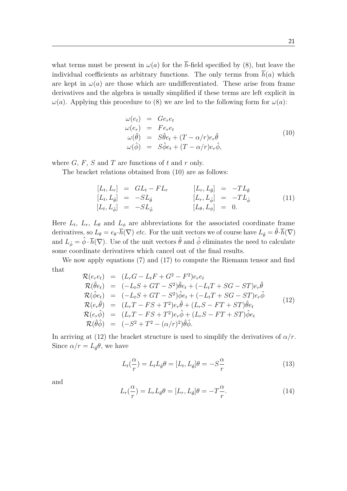what terms must be present in  $\omega(a)$  for the  $\bar{h}$ -field specified by (8), but leave the individual coefficients as arbitrary functions. The only terms from  $\bar{h}(a)$  which are kept in  $\omega(a)$  are those which are undifferentiated. These arise from frame derivatives and the algebra is usually simplified if these terms are left explicit in *ω*(*a*). Applying this procedure to (8) we are led to the following form for *ω*(*a*):

$$
\begin{array}{rcl}\n\omega(e_t) & = & Ge_re_t \\
\omega(e_r) & = & Fe_re_t \\
\omega(\hat{\theta}) & = & S\hat{\theta}e_t + (T - \alpha/r)e_r\hat{\theta} \\
\omega(\hat{\phi}) & = & S\hat{\phi}e_t + (T - \alpha/r)e_r\hat{\phi},\n\end{array} \tag{10}
$$

where  $G$ ,  $F$ ,  $S$  and  $T$  are functions of  $t$  and  $r$  only.

The bracket relations obtained from (10) are as follows:

$$
\begin{array}{rcl}\n[L_t, L_r] &=& GL_t - FL_r & [L_r, L_{\hat{\theta}}] &=& -TL_{\hat{\theta}} \\
[L_t, L_{\hat{\theta}}] &=& -SL_{\hat{\theta}} & [L_r, L_{\hat{\phi}}] &=& -TL_{\hat{\phi}} \\
[L_t, L_{\hat{\phi}}] &=& -SL_{\hat{\phi}} & [L_{\theta}, L_{\phi}] &=& 0.\n\end{array} \tag{11}
$$

Here  $L_t$ ,  $L_r$ ,  $L_\theta$  and  $L_\phi$  are abbreviations for the associated coordinate frame derivatives, so  $L_{\theta} = e_{\theta} \cdot \overline{h}(\nabla)$  *etc.* For the unit vectors we of course have  $L_{\hat{\theta}} = \hat{\theta} \cdot \overline{h}(\nabla)$ and  $L_{\hat{\phi}} = \hat{\phi} \cdot \overline{h}(\nabla)$ . Use of the unit vectors  $\hat{\theta}$  and  $\hat{\phi}$  eliminates the need to calculate some coordinate derivatives which cancel out of the final results.

We now apply equations (7) and (17) to compute the Riemann tensor and find that

$$
\mathcal{R}(e_r e_t) = (L_r G - L_t F + G^2 - F^2) e_r e_t \n\mathcal{R}(\hat{\theta}e_t) = (-L_t S + GT - S^2) \hat{\theta}e_t + (-L_t T + SG - ST) e_r \hat{\theta} \n\mathcal{R}(\hat{\phi}e_t) = (-L_t S + GT - S^2) \hat{\phi}e_t + (-L_t T + SG - ST) e_r \hat{\phi} \n\mathcal{R}(e_r \hat{\theta}) = (L_r T - FS + T^2) e_r \hat{\theta} + (L_r S - FT + ST) \hat{\theta}e_t \n\mathcal{R}(e_r \hat{\phi}) = (L_r T - FS + T^2) e_r \hat{\phi} + (L_r S - FT + ST) \hat{\phi}e_t \n\mathcal{R}(\hat{\theta} \hat{\phi}) = (-S^2 + T^2 - (\alpha/r)^2) \hat{\theta} \hat{\phi}.
$$
\n(12)

In arriving at (12) the bracket structure is used to simplify the derivatives of  $\alpha/r$ . Since  $\alpha/r = L_{\hat{\theta}}\theta$ , we have

$$
L_t(\frac{\alpha}{r}) = L_t L_{\hat{\theta}} \theta = [L_t, L_{\hat{\theta}}] \theta = -S\frac{\alpha}{r}
$$
\n(13)

and

$$
L_r(\frac{\alpha}{r}) = L_r L_{\hat{\theta}} \theta = [L_r, L_{\hat{\theta}}] \theta = -T\frac{\alpha}{r}.
$$
\n(14)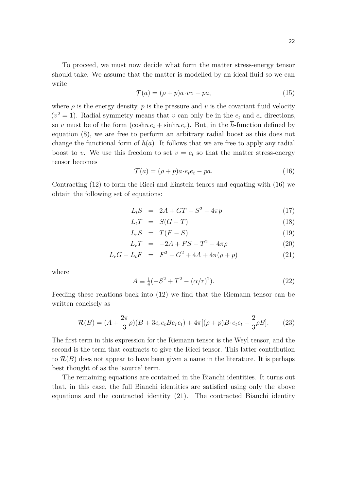To proceed, we must now decide what form the matter stress-energy tensor should take. We assume that the matter is modelled by an ideal fluid so we can write

$$
\mathcal{T}(a) = (\rho + p)a \cdot vv - pa,\tag{15}
$$

where  $\rho$  is the energy density,  $p$  is the pressure and  $v$  is the covariant fluid velocity  $(v^2 = 1)$ . Radial symmetry means that *v* can only be in the  $e_t$  and  $e_r$  directions, so *v* must be of the form  $(\cosh u e_t + \sinh u e_r)$ . But, in the  $\overline{h}$ -function defined by equation (8), we are free to perform an arbitrary radial boost as this does not change the functional form of  $\bar{h}(a)$ . It follows that we are free to apply any radial boost to *v*. We use this freedom to set  $v = e_t$  so that the matter stress-energy tensor becomes

$$
\mathcal{T}(a) = (\rho + p)a \cdot e_t e_t - pa. \tag{16}
$$

Contracting (12) to form the Ricci and Einstein tenors and equating with (16) we obtain the following set of equations:

$$
L_t S = 2A + GT - S^2 - 4\pi p \tag{17}
$$

$$
L_t T = S(G - T) \tag{18}
$$

$$
L_r S = T(F - S) \tag{19}
$$

$$
L_r T = -2A + FS - T^2 - 4\pi \rho \tag{20}
$$

$$
L_r G - L_t F = F^2 - G^2 + 4A + 4\pi(\rho + p) \tag{21}
$$

where

$$
A \equiv \frac{1}{4}(-S^2 + T^2 - (\alpha/r)^2). \tag{22}
$$

Feeding these relations back into (12) we find that the Riemann tensor can be written concisely as

$$
\mathcal{R}(B) = (A + \frac{2\pi}{3}\rho)(B + 3e_r e_t B e_r e_t) + 4\pi[(\rho + p)B \cdot e_t e_t - \frac{2}{3}\rho B].
$$
 (23)

The first term in this expression for the Riemann tensor is the Weyl tensor, and the second is the term that contracts to give the Ricci tensor. This latter contribution to  $\mathcal{R}(B)$  does not appear to have been given a name in the literature. It is perhaps best thought of as the 'source' term.

The remaining equations are contained in the Bianchi identities. It turns out that, in this case, the full Bianchi identities are satisfied using only the above equations and the contracted identity (21). The contracted Bianchi identity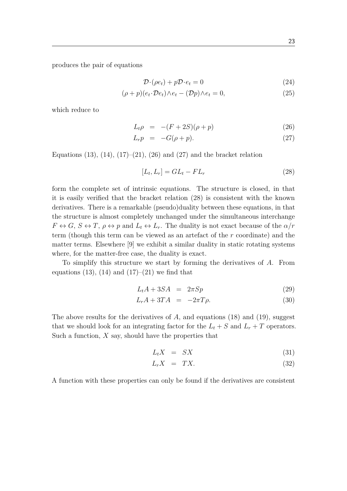produces the pair of equations

$$
\mathcal{D} \cdot (\rho e_t) + p \mathcal{D} \cdot e_t = 0 \tag{24}
$$

$$
(\rho + p)(e_t \cdot \mathcal{D}e_t) \wedge e_t - (\mathcal{D}p) \wedge e_t = 0, \qquad (25)
$$

which reduce to

$$
L_t \rho = -(F + 2S)(\rho + p) \tag{26}
$$

$$
L_r p = -G(\rho + p). \tag{27}
$$

Equations (13), (14), (17)–(21), (26) and (27) and the bracket relation

$$
[L_t, L_r] = GL_t - FL_r \tag{28}
$$

form the complete set of intrinsic equations. The structure is closed, in that it is easily verified that the bracket relation (28) is consistent with the known derivatives. There is a remarkable (pseudo)duality between these equations, in that the structure is almost completely unchanged under the simultaneous interchange  $F \leftrightarrow G$ ,  $S \leftrightarrow T$ ,  $\rho \leftrightarrow p$  and  $L_t \leftrightarrow L_r$ . The duality is not exact because of the  $\alpha/r$ term (though this term can be viewed as an artefact of the *r* coordinate) and the matter terms. Elsewhere [9] we exhibit a similar duality in static rotating systems where, for the matter-free case, the duality is exact.

To simplify this structure we start by forming the derivatives of *A*. From equations (13), (14) and (17)–(21) we find that

$$
L_t A + 3SA = 2\pi Sp \tag{29}
$$

$$
L_r A + 3TA = -2\pi T \rho. \tag{30}
$$

The above results for the derivatives of *A*, and equations (18) and (19), suggest that we should look for an integrating factor for the  $L_t + S$  and  $L_r + T$  operators. Such a function,  $X$  say, should have the properties that

$$
L_t X = SX \tag{31}
$$

$$
L_r X = TX. \tag{32}
$$

A function with these properties can only be found if the derivatives are consistent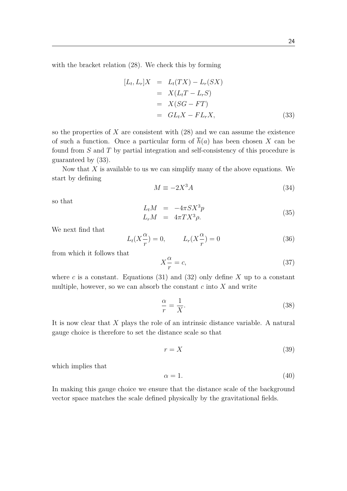with the bracket relation (28). We check this by forming

$$
[L_t, L_r]X = L_t(TX) - L_r(SX)
$$
  
=  $X(L_tT - L_rS)$   
=  $X(SG - FT)$   
=  $GL_tX - FL_rX$ , (33)

so the properties of *X* are consistent with (28) and we can assume the existence of such a function. Once a particular form of  $\overline{h}(a)$  has been chosen X can be found from *S* and *T* by partial integration and self-consistency of this procedure is guaranteed by (33).

Now that *X* is available to us we can simplify many of the above equations. We start by defining

$$
M \equiv -2X^3 A \tag{34}
$$

so that

$$
L_t M = -4\pi S X^3 p
$$
  
\n
$$
L_r M = 4\pi T X^3 \rho.
$$
\n(35)

We next find that

$$
L_t(X\frac{\alpha}{r}) = 0, \qquad L_r(X\frac{\alpha}{r}) = 0 \tag{36}
$$

from which it follows that

$$
X\frac{\alpha}{r} = c,\tag{37}
$$

where *c* is a constant. Equations (31) and (32) only define  $X$  up to a constant multiple, however, so we can absorb the constant  $c$  into  $\overline{X}$  and write

$$
\frac{\alpha}{r} = \frac{1}{X}.\tag{38}
$$

It is now clear that *X* plays the role of an intrinsic distance variable. A natural gauge choice is therefore to set the distance scale so that

$$
r = X \tag{39}
$$

which implies that

$$
\alpha = 1.\tag{40}
$$

In making this gauge choice we ensure that the distance scale of the background vector space matches the scale defined physically by the gravitational fields.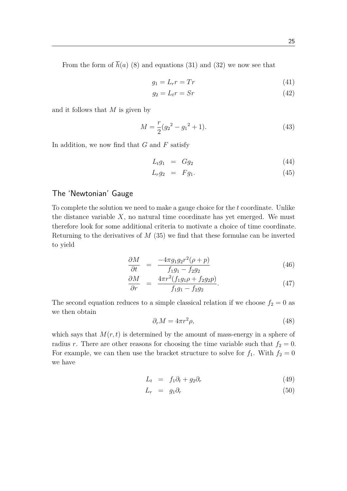From the form of  $\bar{h}(a)$  (8) and equations (31) and (32) we now see that

$$
g_1 = L_r r = Tr \tag{41}
$$

$$
g_2 = L_t r = Sr \tag{42}
$$

and it follows that *M* is given by

$$
M = \frac{r}{2}(g_2^2 - g_1^2 + 1).
$$
\n(43)

In addition, we now find that *G* and *F* satisfy

$$
L_t g_1 = G g_2 \tag{44}
$$

$$
L_r g_2 = F g_1. \tag{45}
$$

#### The 'Newtonian' Gauge

To complete the solution we need to make a gauge choice for the *t* coordinate. Unlike the distance variable  $X$ , no natural time coordinate has yet emerged. We must therefore look for some additional criteria to motivate a choice of time coordinate. Returning to the derivatives of *M* (35) we find that these formulae can be inverted to yield

$$
\frac{\partial M}{\partial t} = \frac{-4\pi g_1 g_2 r^2 (\rho + p)}{f_1 g_1 - f_2 g_2} \tag{46}
$$

$$
\frac{\partial M}{\partial r} = \frac{4\pi r^2 (f_1 g_1 \rho + f_2 g_2 p)}{f_1 g_1 - f_2 g_2}.
$$
\n(47)

The second equation reduces to a simple classical relation if we choose  $f_2 = 0$  as we then obtain

$$
\partial_r M = 4\pi r^2 \rho,\tag{48}
$$

which says that  $M(r, t)$  is determined by the amount of mass-energy in a sphere of radius *r*. There are other reasons for choosing the time variable such that  $f_2 = 0$ . For example, we can then use the bracket structure to solve for  $f_1$ . With  $f_2 = 0$ we have

$$
L_t = f_1 \partial_t + g_2 \partial_r \tag{49}
$$

$$
L_r = g_1 \partial_r \tag{50}
$$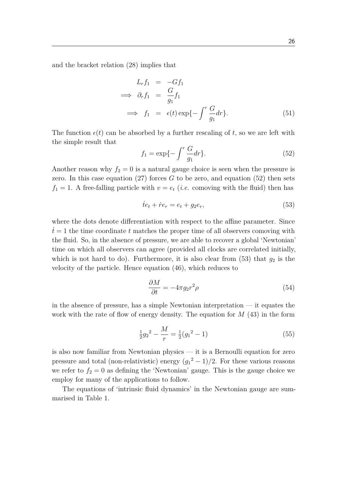and the bracket relation (28) implies that

$$
L_r f_1 = -Gf_1
$$
  
\n
$$
\implies \partial_r f_1 = \frac{G}{g_1} f_1
$$
  
\n
$$
\implies f_1 = \epsilon(t) \exp\{-\int^r \frac{G}{g_1} dr\}. \tag{51}
$$

The function  $\epsilon(t)$  can be absorbed by a further rescaling of t, so we are left with the simple result that

$$
f_1 = \exp\{-\int^r \frac{G}{g_1} dr\}.
$$
 (52)

Another reason why  $f_2 = 0$  is a natural gauge choice is seen when the pressure is zero. In this case equation  $(27)$  forces *G* to be zero, and equation  $(52)$  then sets  $f_1 = 1$ . A free-falling particle with  $v = e_t$  *(i.e.* comoving with the fluid) then has

$$
\dot{t}e_t + \dot{r}e_r = e_t + g_2 e_r,\tag{53}
$$

where the dots denote differentiation with respect to the affine parameter. Since  $t = 1$  the time coordinate  $t$  matches the proper time of all observers comoving with the fluid. So, in the absence of pressure, we are able to recover a global 'Newtonian' time on which all observers can agree (provided all clocks are correlated initially, which is not hard to do). Furthermore, it is also clear from  $(53)$  that  $g_2$  is the velocity of the particle. Hence equation (46), which reduces to

$$
\frac{\partial M}{\partial t} = -4\pi g_2 r^2 \rho \tag{54}
$$

in the absence of pressure, has a simple Newtonian interpretation  $-$  it equates the work with the rate of flow of energy density. The equation for *M* (43) in the form

$$
\frac{1}{2}g_2^2 - \frac{M}{r} = \frac{1}{2}(g_1^2 - 1) \tag{55}
$$

is also now familiar from Newtonian physics — it is a Bernoulli equation for zero pressure and total (non-relativistic) energy  $(g_1^2 - 1)/2$ . For these various reasons we refer to  $f_2 = 0$  as defining the 'Newtonian' gauge. This is the gauge choice we employ for many of the applications to follow.

The equations of 'intrinsic fluid dynamics' in the Newtonian gauge are summarised in Table 1.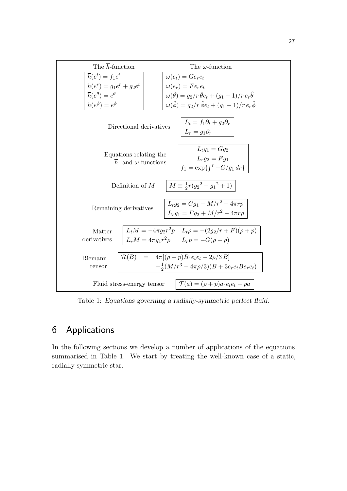

Table 1: Equations governing a radially-symmetric perfect fluid.

## 6 Applications

In the following sections we develop a number of applications of the equations summarised in Table 1. We start by treating the well-known case of a static, radially-symmetric star.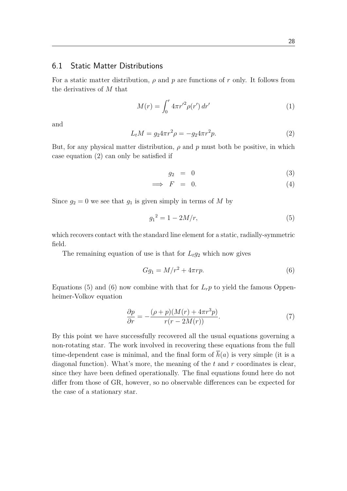#### 6.1 Static Matter Distributions

For a static matter distribution, *ρ* and *p* are functions of *r* only. It follows from the derivatives of *M* that

$$
M(r) = \int_0^r 4\pi r'^2 \rho(r') dr' \tag{1}
$$

and

$$
L_t M = g_2 4\pi r^2 \rho = -g_2 4\pi r^2 p. \tag{2}
$$

But, for any physical matter distribution,  $\rho$  and  $p$  must both be positive, in which case equation (2) can only be satisfied if

$$
g_2 = 0 \tag{3}
$$

$$
\implies F = 0. \tag{4}
$$

Since  $g_2 = 0$  we see that  $g_1$  is given simply in terms of M by

$$
g_1^2 = 1 - 2M/r,\t\t(5)
$$

which recovers contact with the standard line element for a static, radially-symmetric field.

The remaining equation of use is that for  $L_t g_2$  which now gives

$$
Gg_1 = M/r^2 + 4\pi rp.
$$
\n<sup>(6)</sup>

Equations (5) and (6) now combine with that for  $L_r p$  to yield the famous Oppenheimer-Volkov equation

$$
\frac{\partial p}{\partial r} = -\frac{(\rho + p)(M(r) + 4\pi r^3 p)}{r(r - 2M(r))}.
$$
\n(7)

By this point we have successfully recovered all the usual equations governing a non-rotating star. The work involved in recovering these equations from the full time-dependent case is minimal, and the final form of  $\bar{h}(a)$  is very simple (it is a diagonal function). What's more, the meaning of the *t* and *r* coordinates is clear, since they have been defined operationally. The final equations found here do not differ from those of GR, however, so no observable differences can be expected for the case of a stationary star.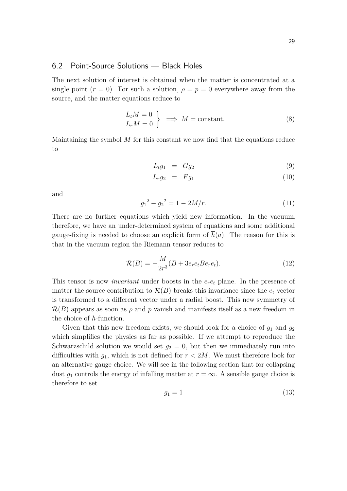#### 6.2 Point-Source Solutions — Black Holes

The next solution of interest is obtained when the matter is concentrated at a single point  $(r = 0)$ . For such a solution,  $\rho = p = 0$  everywhere away from the source, and the matter equations reduce to

$$
\left\{\n \begin{aligned}\n L_t M &= 0 \\
 L_r M &= 0\n \end{aligned}\n \right\}\n \implies M = \text{constant}.\n \tag{8}
$$

Maintaining the symbol *M* for this constant we now find that the equations reduce to

$$
L_t g_1 = G g_2 \tag{9}
$$

$$
L_r g_2 = F g_1 \tag{10}
$$

and

$$
g_1^2 - g_2^2 = 1 - 2M/r.\tag{11}
$$

There are no further equations which yield new information. In the vacuum, therefore, we have an under-determined system of equations and some additional gauge-fixing is needed to choose an explicit form of  $\overline{h}(a)$ . The reason for this is that in the vacuum region the Riemann tensor reduces to

$$
\mathcal{R}(B) = -\frac{M}{2r^3}(B + 3e_r e_t B e_r e_t).
$$
 (12)

This tensor is now *invariant* under boosts in the *ere<sup>t</sup>* plane. In the presence of matter the source contribution to  $\mathcal{R}(B)$  breaks this invariance since the  $e_t$  vector is transformed to a different vector under a radial boost. This new symmetry of  $\mathcal{R}(B)$  appears as soon as  $\rho$  and  $p$  vanish and manifests itself as a new freedom in the choice of  $\overline{h}$ -function.

Given that this new freedom exists, we should look for a choice of  $g_1$  and  $g_2$ which simplifies the physics as far as possible. If we attempt to reproduce the Schwarzschild solution we would set  $g_2 = 0$ , but then we immediately run into difficulties with  $g_1$ , which is not defined for  $r < 2M$ . We must therefore look for an alternative gauge choice. We will see in the following section that for collapsing dust  $q_1$  controls the energy of infalling matter at  $r = \infty$ . A sensible gauge choice is therefore to set

$$
g_1 = 1 \tag{13}
$$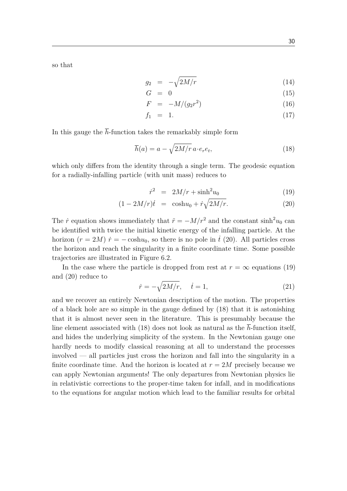so that

$$
g_2 = -\sqrt{2M/r} \tag{14}
$$

$$
G = 0 \tag{15}
$$

$$
F = -M/(g_2 r^2) \tag{16}
$$

$$
f_1 = 1. \tag{17}
$$

In this gauge the  $\bar{h}$ -function takes the remarkably simple form

$$
\overline{h}(a) = a - \sqrt{2M/r} \, a \cdot e_r e_t,\tag{18}
$$

which only differs from the identity through a single term. The geodesic equation for a radially-infalling particle (with unit mass) reduces to

$$
\dot{r}^2 = 2M/r + \sinh^2 u_0 \tag{19}
$$

$$
(1 - 2M/r)\dot{t} = \cosh u_0 + \dot{r}\sqrt{2M/r}.\tag{20}
$$

The *r*<sup>i</sup> equation shows immediately that  $\ddot{r} = -M/r^2$  and the constant  $\sinh^2 u_0$  can be identified with twice the initial kinetic energy of the infalling particle. At the horizon  $(r = 2M)$   $\dot{r} = -\cosh u_0$ , so there is no pole in  $\dot{t}$  (20). All particles cross the horizon and reach the singularity in a finite coordinate time. Some possible trajectories are illustrated in Figure 6.2.

In the case where the particle is dropped from rest at  $r = \infty$  equations (19) and (20) reduce to

$$
\dot{r} = -\sqrt{2M/r}, \quad \dot{t} = 1,\tag{21}
$$

and we recover an entirely Newtonian description of the motion. The properties of a black hole are so simple in the gauge defined by (18) that it is astonishing that it is almost never seen in the literature. This is presumably because the line element associated with (18) does not look as natural as the  $\overline{h}$ -function itself, and hides the underlying simplicity of the system. In the Newtonian gauge one hardly needs to modify classical reasoning at all to understand the processes involved — all particles just cross the horizon and fall into the singularity in a finite coordinate time. And the horizon is located at  $r = 2M$  precisely because we can apply Newtonian arguments! The only departures from Newtonian physics lie in relativistic corrections to the proper-time taken for infall, and in modifications to the equations for angular motion which lead to the familiar results for orbital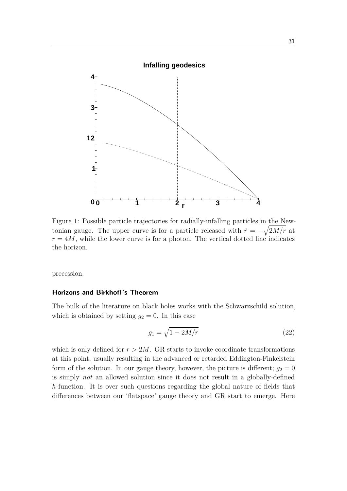

 $r = 4M$ , while the lower curve is for a photon. The vertical dotted line indicates the horizon. Figure 1: Possible particle trajectories for radially-infalling particles in the Newtonian gauge. The upper curve is for a particle released with  $\dot{r} = -\sqrt{2M/r}$  at

precession.

#### **Horizons and Birkhoff's Theorem**

The bulk of the literature on black holes works with the Schwarzschild solution, which is obtained by setting  $g_2 = 0$ . In this case

$$
g_1 = \sqrt{1 - 2M/r} \tag{22}
$$

which is only defined for  $r > 2M$ . GR starts to invoke coordinate transformations at this point, usually resulting in the advanced or retarded Eddington-Finkelstein is simply *not* an allowed solution since it does not result in a globally-defined form of the solution. In our gauge theory, however, the picture is different;  $g_2 = 0$ *h*-function. It is over such questions regarding the global nature of fields that differences between our 'flatspace' gauge theory and GR start to emerge. Here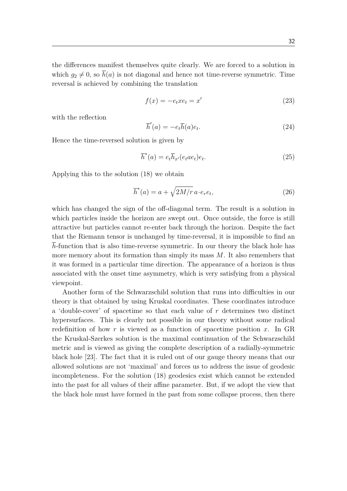the differences manifest themselves quite clearly. We are forced to a solution in which  $q_2 \neq 0$ , so  $\bar{h}(a)$  is not diagonal and hence not time-reverse symmetric. Time reversal is achieved by combining the translation

$$
f(x) = -e_t x e_t = x'
$$
\n(23)

with the reflection

$$
\overline{h}'(a) = -e_t \overline{h}(a)e_t.
$$
\n(24)

Hence the time-reversed solution is given by

$$
\overline{h}^*(a) = e_t \overline{h}_{x'}(e_t a e_t) e_t.
$$
\n(25)

Applying this to the solution (18) we obtain

$$
\overline{h}^*(a) = a + \sqrt{2M/r} \, a \cdot e_r e_t,\tag{26}
$$

which has changed the sign of the off-diagonal term. The result is a solution in which particles inside the horizon are swept out. Once outside, the force is still attractive but particles cannot re-enter back through the horizon. Despite the fact that the Riemann tensor is unchanged by time-reversal, it is impossible to find an *h*-function that is also time-reverse symmetric. In our theory the black hole has more memory about its formation than simply its mass *M*. It also remembers that it was formed in a particular time direction. The appearance of a horizon is thus associated with the onset time asymmetry, which is very satisfying from a physical viewpoint.

Another form of the Schwarzschild solution that runs into difficulties in our theory is that obtained by using Kruskal coordinates. These coordinates introduce a 'double-cover' of spacetime so that each value of *r* determines two distinct hypersurfaces. This is clearly not possible in our theory without some radical redefinition of how *r* is viewed as a function of spacetime position *x*. In GR the Kruskal-Szerkes solution is the maximal continuation of the Schwarzschild metric and is viewed as giving the complete description of a radially-symmetric black hole [23]. The fact that it is ruled out of our gauge theory means that our allowed solutions are not 'maximal' and forces us to address the issue of geodesic incompleteness. For the solution (18) geodesics exist which cannot be extended into the past for all values of their affine parameter. But, if we adopt the view that the black hole must have formed in the past from some collapse process, then there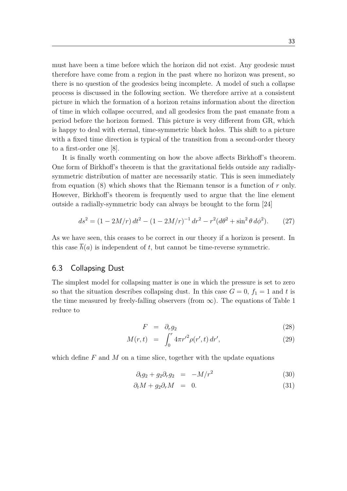must have been a time before which the horizon did not exist. Any geodesic must therefore have come from a region in the past where no horizon was present, so there is no question of the geodesics being incomplete. A model of such a collapse process is discussed in the following section. We therefore arrive at a consistent picture in which the formation of a horizon retains information about the direction of time in which collapse occurred, and all geodesics from the past emanate from a period before the horizon formed. This picture is very different from GR, which is happy to deal with eternal, time-symmetric black holes. This shift to a picture with a fixed time direction is typical of the transition from a second-order theory to a first-order one [8].

It is finally worth commenting on how the above affects Birkhoff's theorem. One form of Birkhoff's theorem is that the gravitational fields outside any radiallysymmetric distribution of matter are necessarily static. This is seen immediately from equation (8) which shows that the Riemann tensor is a function of *r* only. However, Birkhoff's theorem is frequently used to argue that the line element outside a radially-symmetric body can always be brought to the form [24]

$$
ds^{2} = (1 - 2M/r) dt^{2} - (1 - 2M/r)^{-1} dr^{2} - r^{2} (d\theta^{2} + \sin^{2} \theta d\phi^{2}).
$$
 (27)

As we have seen, this ceases to be correct in our theory if a horizon is present. In this case  $\overline{h}(a)$  is independent of *t*, but cannot be time-reverse symmetric.

#### 6.3 Collapsing Dust

The simplest model for collapsing matter is one in which the pressure is set to zero so that the situation describes collapsing dust. In this case  $G = 0$ ,  $f_1 = 1$  and t is the time measured by freely-falling observers (from  $\infty$ ). The equations of Table 1 reduce to

$$
F = \partial_r g_2 \tag{28}
$$

$$
M(r,t) = \int_0^r 4\pi r'^2 \rho(r',t) dr', \qquad (29)
$$

which define F and M on a time slice, together with the update equations

$$
\partial_t g_2 + g_2 \partial_r g_2 = -M/r^2 \tag{30}
$$

$$
\partial_t M + g_2 \partial_r M = 0. \tag{31}
$$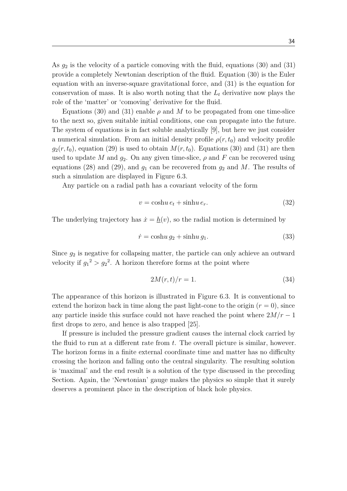As *g*<sup>2</sup> is the velocity of a particle comoving with the fluid, equations (30) and (31) provide a completely Newtonian description of the fluid. Equation (30) is the Euler equation with an inverse-square gravitational force, and (31) is the equation for conservation of mass. It is also worth noting that the *L<sup>t</sup>* derivative now plays the role of the 'matter' or 'comoving' derivative for the fluid.

Equations (30) and (31) enable  $\rho$  and M to be propagated from one time-slice to the next so, given suitable initial conditions, one can propagate into the future. The system of equations is in fact soluble analytically [9], but here we just consider a numerical simulation. From an initial density profile  $\rho(r, t_0)$  and velocity profile  $g_2(r, t_0)$ , equation (29) is used to obtain  $M(r, t_0)$ . Equations (30) and (31) are then used to update *M* and  $g_2$ . On any given time-slice,  $\rho$  and F can be recovered using equations (28) and (29), and  $g_1$  can be recovered from  $g_2$  and M. The results of such a simulation are displayed in Figure 6.3.

Any particle on a radial path has a covariant velocity of the form

$$
v = \cosh u \, e_t + \sinh u \, e_r. \tag{32}
$$

The underlying trajectory has  $\dot{x} = h(v)$ , so the radial motion is determined by

$$
\dot{r} = \cosh u \, g_2 + \sinh u \, g_1. \tag{33}
$$

Since  $g_2$  is negative for collapsing matter, the particle can only achieve an outward velocity if  $g_1^2 > g_2^2$ . A horizon therefore forms at the point where

$$
2M(r,t)/r = 1.\t\t(34)
$$

The appearance of this horizon is illustrated in Figure 6.3. It is conventional to extend the horizon back in time along the past light-cone to the origin  $(r = 0)$ , since any particle inside this surface could not have reached the point where  $2M/r - 1$ first drops to zero, and hence is also trapped [25].

If pressure is included the pressure gradient causes the internal clock carried by the fluid to run at a different rate from *t*. The overall picture is similar, however. The horizon forms in a finite external coordinate time and matter has no difficulty crossing the horizon and falling onto the central singularity. The resulting solution is 'maximal' and the end result is a solution of the type discussed in the preceding Section. Again, the 'Newtonian' gauge makes the physics so simple that it surely deserves a prominent place in the description of black hole physics.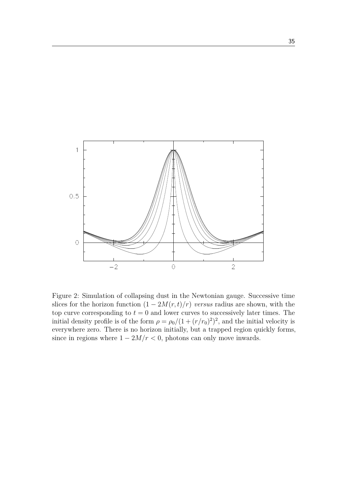

Figure 2: Simulation of collapsing dust in the Newtonian gauge. Successive time slices for the horizon function  $(1 - 2M(r, t)/r)$  *versus* radius are shown, with the top curve corresponding to  $t = 0$  and lower curves to successively later times. The initial density profile is of the form  $\rho = \rho_0/(1 + (r/r_0)^2)^2$ , and the initial velocity is everywhere zero. There is no horizon initially, but a trapped region quickly forms, since in regions where  $1 - 2M/r < 0$ , photons can only move inwards.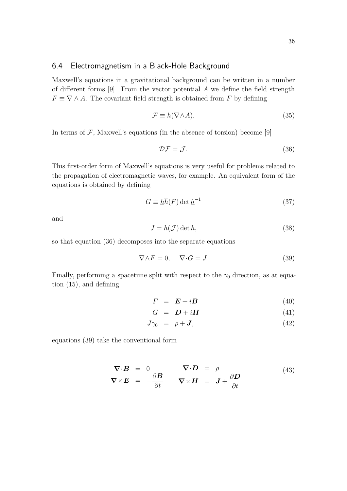#### 6.4 Electromagnetism in a Black-Hole Background

Maxwell's equations in a gravitational background can be written in a number of different forms [9]. From the vector potential *A* we define the field strength  $F \equiv \nabla \wedge A$ . The covariant field strength is obtained from *F* by defining

$$
\mathcal{F} \equiv \overline{h}(\nabla \wedge A). \tag{35}
$$

In terms of  $\mathcal{F}$ , Maxwell's equations (in the absence of torsion) become [9]

$$
\mathcal{DF} = \mathcal{J}.\tag{36}
$$

This first-order form of Maxwell's equations is very useful for problems related to the propagation of electromagnetic waves, for example. An equivalent form of the equations is obtained by defining

$$
G \equiv \underline{h}\overline{h}(F) \det \underline{h}^{-1} \tag{37}
$$

and

$$
J = \underline{h}(\mathcal{J}) \det \underline{h},\tag{38}
$$

so that equation (36) decomposes into the separate equations

$$
\nabla \wedge F = 0, \quad \nabla \cdot G = J. \tag{39}
$$

Finally, performing a spacetime split with respect to the  $\gamma_0$  direction, as at equation (15), and defining

$$
F = \mathbf{E} + i\mathbf{B} \tag{40}
$$

$$
G = \mathbf{D} + i\mathbf{H} \tag{41}
$$

$$
J\gamma_0 = \rho + \mathbf{J},\tag{42}
$$

equations (39) take the conventional form

$$
\nabla \cdot \mathbf{B} = 0 \qquad \nabla \cdot \mathbf{D} = \rho
$$
  
\n
$$
\nabla \times \mathbf{E} = -\frac{\partial \mathbf{B}}{\partial t} \qquad \nabla \times \mathbf{H} = \mathbf{J} + \frac{\partial \mathbf{D}}{\partial t}
$$
\n(43)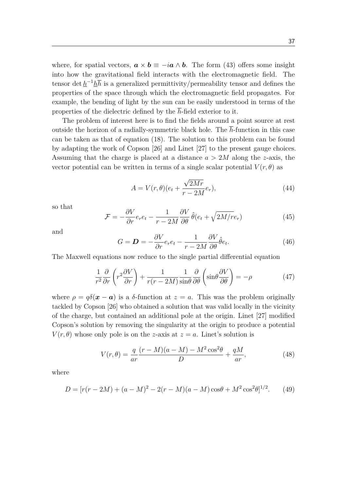37

where, for spatial vectors,  $\mathbf{a} \times \mathbf{b} \equiv -i\mathbf{a} \wedge \mathbf{b}$ . The form (43) offers some insight into how the gravitational field interacts with the electromagnetic field. The tensor det  $h^{-1}h\overline{h}$  is a generalized permittivity/permeability tensor and defines the properties of the space through which the electromagnetic field propagates. For example, the bending of light by the sun can be easily understood in terms of the properties of the dielectric defined by the  $\overline{h}$ -field exterior to it.

The problem of interest here is to find the fields around a point source at rest outside the horizon of a radially-symmetric black hole. The *h*-function in this case can be taken as that of equation (18). The solution to this problem can be found by adapting the work of Copson [26] and Linet [27] to the present gauge choices. Assuming that the charge is placed at a distance *a >* 2*M* along the *z*-axis, the vector potential can be written in terms of a single scalar potential  $V(r, \theta)$  as

$$
A = V(r, \theta)(e_t + \frac{\sqrt{2Mr}}{r - 2M}e_r),
$$
\n(44)

so that

$$
\mathcal{F} = -\frac{\partial V}{\partial r} e_r e_t - \frac{1}{r - 2M} \frac{\partial V}{\partial \theta} \hat{\theta} (e_t + \sqrt{2M/r} e_r)
$$
(45)

and

$$
G = \mathbf{D} = -\frac{\partial V}{\partial r} e_r e_t - \frac{1}{r - 2M} \frac{\partial V}{\partial \theta} \hat{\theta} e_t.
$$
 (46)

The Maxwell equations now reduce to the single partial differential equation

$$
\frac{1}{r^2} \frac{\partial}{\partial r} \left( r^2 \frac{\partial V}{\partial r} \right) + \frac{1}{r(r - 2M)} \frac{1}{\sin \theta} \frac{\partial}{\partial \theta} \left( \sin \theta \frac{\partial V}{\partial \theta} \right) = -\rho \tag{47}
$$

where  $\rho = q\delta(\mathbf{x} - \mathbf{a})$  is a  $\delta$ -function at  $z = a$ . This was the problem originally tackled by Copson [26] who obtained a solution that was valid locally in the vicinity of the charge, but contained an additional pole at the origin. Linet [27] modified Copson's solution by removing the singularity at the origin to produce a potential  $V(r, \theta)$  whose only pole is on the *z*-axis at  $z = a$ . Linet's solution is

$$
V(r,\theta) = \frac{q}{ar} \frac{(r-M)(a-M) - M^2 \cos^2\theta}{D} + \frac{qM}{ar},\tag{48}
$$

where

$$
D = [r(r - 2M) + (a - M)^{2} - 2(r - M)(a - M)\cos\theta + M^{2}\cos^{2}\theta]^{1/2}.
$$
 (49)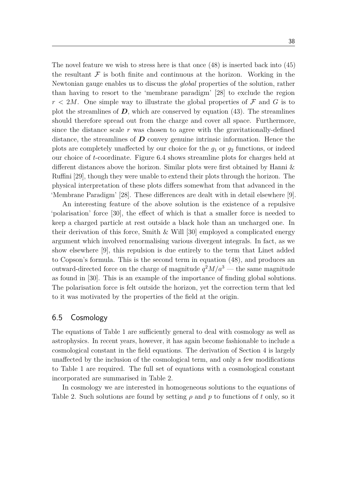The novel feature we wish to stress here is that once (48) is inserted back into (45) the resultant  $\mathcal F$  is both finite and continuous at the horizon. Working in the Newtonian gauge enables us to discuss the *global* properties of the solution, rather than having to resort to the 'membrane paradigm' [28] to exclude the region  $r < 2M$ . One simple way to illustrate the global properties of  $\mathcal F$  and  $G$  is to plot the streamlines of  $D$ , which are conserved by equation (43). The streamlines should therefore spread out from the charge and cover all space. Furthermore, since the distance scale *r* was chosen to agree with the gravitationally-defined distance, the streamlines of *D* convey genuine intrinsic information. Hence the plots are completely unaffected by our choice for the *g*<sup>1</sup> or *g*<sup>2</sup> functions, or indeed our choice of *t*-coordinate. Figure 6.4 shows streamline plots for charges held at different distances above the horizon. Similar plots were first obtained by Hanni & Ruffini [29], though they were unable to extend their plots through the horizon. The physical interpretation of these plots differs somewhat from that advanced in the 'Membrane Paradigm' [28]. These differences are dealt with in detail elsewhere [9].

An interesting feature of the above solution is the existence of a repulsive 'polarisation' force [30], the effect of which is that a smaller force is needed to keep a charged particle at rest outside a black hole than an uncharged one. In their derivation of this force, Smith  $\&$  Will [30] employed a complicated energy argument which involved renormalising various divergent integrals. In fact, as we show elsewhere [9], this repulsion is due entirely to the term that Linet added to Copson's formula. This is the second term in equation (48), and produces an outward-directed force on the charge of magnitude  $q^2M/a^3$  — the same magnitude as found in [30]. This is an example of the importance of finding global solutions. The polarisation force is felt outside the horizon, yet the correction term that led to it was motivated by the properties of the field at the origin.

#### 6.5 Cosmology

The equations of Table 1 are sufficiently general to deal with cosmology as well as astrophysics. In recent years, however, it has again become fashionable to include a cosmological constant in the field equations. The derivation of Section 4 is largely unaffected by the inclusion of the cosmological term, and only a few modifications to Table 1 are required. The full set of equations with a cosmological constant incorporated are summarised in Table 2.

In cosmology we are interested in homogeneous solutions to the equations of Table 2. Such solutions are found by setting  $\rho$  and  $p$  to functions of  $t$  only, so it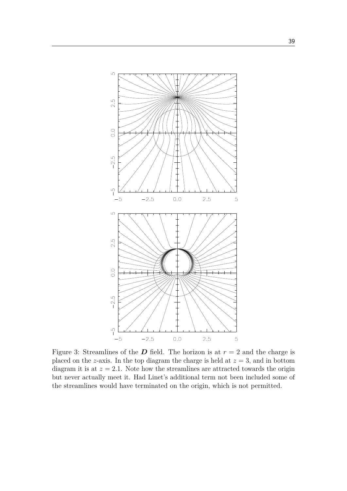

Figure 3: Streamlines of the *D* field. The horizon is at  $r = 2$  and the charge is placed on the *z*-axis. In the top diagram the charge is held at  $z = 3$ , and in bottom diagram it is at  $z = 2.1$ . Note how the streamlines are attracted towards the origin but never actually meet it. Had Linet's additional term not been included some of the streamlines would have terminated on the origin, which is not permitted.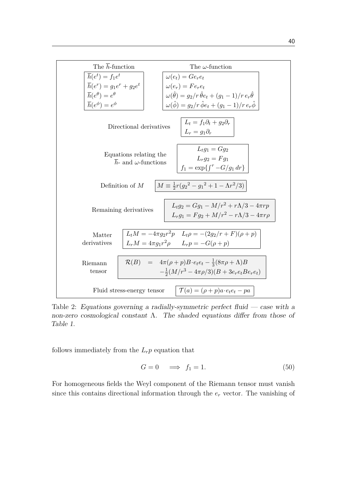

Table 2: Equations governing a radially-symmetric perfect fluid — case with a non-zero cosmological constant  $\Lambda$ . The shaded equations differ from those of Table 1.

follows immediately from the  $L_r p$  equation that

$$
G = 0 \quad \Longrightarrow \quad f_1 = 1. \tag{50}
$$

For homogeneous fields the Weyl component of the Riemann tensor must vanish since this contains directional information through the *e<sup>r</sup>* vector. The vanishing of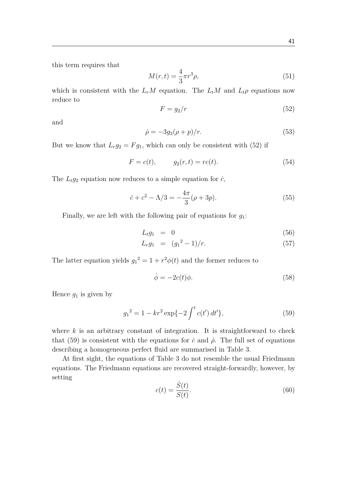this term requires that

$$
M(r,t) = \frac{4}{3}\pi r^3 \rho,\tag{51}
$$

which is consistent with the  $L_rM$  equation. The  $L_tM$  and  $L_t\rho$  equations now reduce to

$$
F = g_2/r \tag{52}
$$

and

$$
\dot{\rho} = -3g_2(\rho + p)/r. \tag{53}
$$

But we know that  $L_r g_2 = F g_1$ , which can only be consistent with (52) if

$$
F = c(t), \t\t g_2(r, t) = rc(t). \t\t (54)
$$

The  $L_t g_2$  equation now reduces to a simple equation for  $\dot{c}$ ,

$$
\dot{c} + c^2 - \Lambda/3 = -\frac{4\pi}{3}(\rho + 3p). \tag{55}
$$

Finally, we are left with the following pair of equations for *g*1:

$$
L_t g_1 = 0 \tag{56}
$$

$$
L_r g_1 = (g_1^2 - 1)/r. \tag{57}
$$

The latter equation yields  $g_1^2 = 1 + r^2 \phi(t)$  and the former reduces to

$$
\dot{\phi} = -2c(t)\phi.
$$
\n(58)

Hence  $g_1$  is given by

$$
g_1^2 = 1 - kr^2 \exp\{-2 \int^t c(t') dt'\},\tag{59}
$$

where *k* is an arbitrary constant of integration. It is straightforward to check that (59) is consistent with the equations for  $\dot{c}$  and  $\dot{\rho}$ . The full set of equations describing a homogeneous perfect fluid are summarised in Table 3.

At first sight, the equations of Table 3 do not resemble the usual Friedmann equations. The Friedmann equations are recovered straight-forwardly, however, by setting

$$
c(t) = \frac{\dot{S}(t)}{S(t)}.\t(60)
$$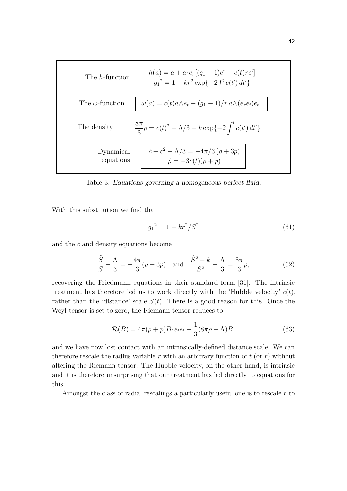

Table 3: Equations governing a homogeneous perfect fluid.

With this substitution we find that

$$
g_1^2 = 1 - kr^2/S^2 \tag{61}
$$

and the *c*˙ and density equations become

$$
\frac{\ddot{S}}{S} - \frac{\Lambda}{3} = -\frac{4\pi}{3}(\rho + 3p) \text{ and } \frac{\dot{S}^2 + k}{S^2} - \frac{\Lambda}{3} = \frac{8\pi}{3}\rho,
$$
 (62)

recovering the Friedmann equations in their standard form [31]. The intrinsic treatment has therefore led us to work directly with the 'Hubble velocity' *c*(*t*), rather than the 'distance' scale  $S(t)$ . There is a good reason for this. Once the Weyl tensor is set to zero, the Riemann tensor reduces to

$$
\mathcal{R}(B) = 4\pi(\rho + p)B \cdot e_t e_t - \frac{1}{3}(8\pi\rho + \Lambda)B,\tag{63}
$$

and we have now lost contact with an intrinsically-defined distance scale. We can therefore rescale the radius variable  $r$  with an arbitrary function of  $t$  (or  $r$ ) without altering the Riemann tensor. The Hubble velocity, on the other hand, is intrinsic and it is therefore unsurprising that our treatment has led directly to equations for this.

Amongst the class of radial rescalings a particularly useful one is to rescale *r* to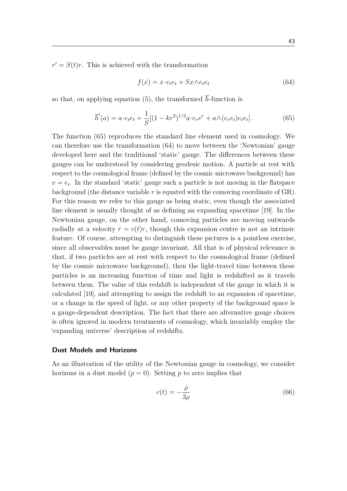$r' = S(t)r$ . This is achieved with the transformation

$$
f(x) = x \cdot e_t e_t + Sx \wedge e_t e_t \tag{64}
$$

so that, on applying equation (5), the transformed  $\bar{h}$ -function is

$$
\overline{h}'(a) = a \cdot e_t e_t + \frac{1}{S} [(1 - kr^2)^{1/2} a \cdot e_r e^r + a \wedge (e_r e_t) e_t e_t]. \tag{65}
$$

The function (65) reproduces the standard line element used in cosmology. We can therefore use the transformation (64) to move between the 'Newtonian' gauge developed here and the traditional 'static' gauge. The differences between these gauges can be understood by considering geodesic motion. A particle at rest with respect to the cosmological frame (defined by the cosmic microwave background) has  $v = e_t$ . In the standard 'static' gauge such a particle is not moving in the flatspace background (the distance variable *r* is equated with the comoving coordinate of GR). For this reason we refer to this gauge as being static, even though the associated line element is usually thought of as defining an expanding spacetime [19]. In the Newtonian gauge, on the other hand, comoving particles are moving outwards radially at a velocity  $\dot{r} = c(t)r$ , though this expansion centre is not an intrinsic feature. Of course, attempting to distinguish these pictures is a pointless exercise, since all observables must be gauge invariant. All that is of physical relevance is that, if two particles are at rest with respect to the cosmological frame (defined by the cosmic microwave background), then the light-travel time between these particles is an increasing function of time and light is redshifted as it travels between them. The value of this redshift is independent of the gauge in which it is calculated [19], and attempting to assign the redshift to an expansion of spacetime, or a change in the speed of light, or any other property of the background space is a gauge-dependent description. The fact that there are alternative gauge choices is often ignored in modern treatments of cosmology, which invariably employ the 'expanding universe' description of redshifts.

#### **Dust Models and Horizons**

As an illustration of the utility of the Newtonian gauge in cosmology, we consider horizons in a dust model  $(p = 0)$ . Setting p to zero implies that

$$
c(t) = -\frac{\dot{\rho}}{3\rho} \tag{66}
$$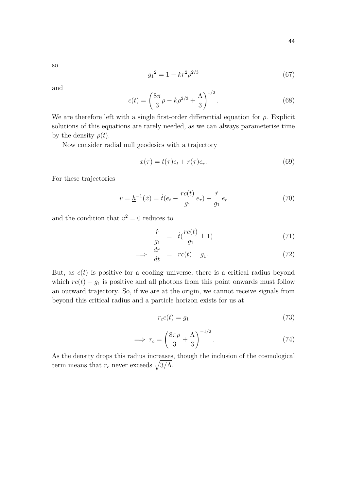so

$$
g_1^2 = 1 - kr^2 \rho^{2/3} \tag{67}
$$

and

$$
c(t) = \left(\frac{8\pi}{3}\rho - k\rho^{2/3} + \frac{\Lambda}{3}\right)^{1/2}.
$$
 (68)

We are therefore left with a single first-order differential equation for  $\rho$ . Explicit solutions of this equations are rarely needed, as we can always parameterise time by the density  $\rho(t)$ .

Now consider radial null geodesics with a trajectory

$$
x(\tau) = t(\tau)e_t + r(\tau)e_r.
$$
\n(69)

For these trajectories

$$
v = \underline{h}^{-1}(\dot{x}) = \dot{t}(e_t - \frac{rc(t)}{g_1}e_r) + \frac{\dot{r}}{g_1}e_r \tag{70}
$$

and the condition that  $v^2 = 0$  reduces to

$$
\frac{\dot{r}}{g_1} = i(\frac{rc(t)}{g_1} \pm 1) \tag{71}
$$

$$
\implies \frac{dr}{dt} = rc(t) \pm g_1. \tag{72}
$$

But, as  $c(t)$  is positive for a cooling universe, there is a critical radius beyond which  $rc(t) - g_1$  is positive and all photons from this point onwards must follow an outward trajectory. So, if we are at the origin, we cannot receive signals from beyond this critical radius and a particle horizon exists for us at

$$
r_c c(t) = g_1 \tag{73}
$$

$$
\implies r_c = \left(\frac{8\pi\rho}{3} + \frac{\Lambda}{3}\right)^{-1/2}.\tag{74}
$$

As the density drops this radius increases, though the inclusion of the cosmological term means that  $r_c$  never exceeds  $\sqrt{3/\Lambda}$ .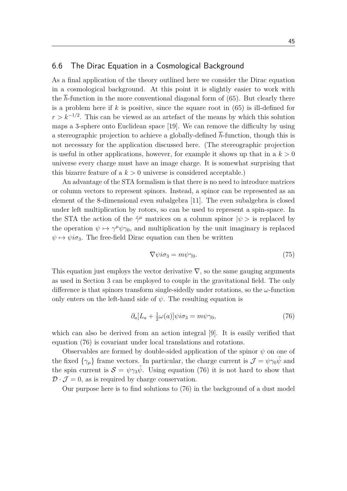#### 6.6 The Dirac Equation in a Cosmological Background

As a final application of the theory outlined here we consider the Dirac equation in a cosmological background. At this point it is slightly easier to work with the  $\bar{h}$ -function in the more conventional diagonal form of (65). But clearly there is a problem here if *k* is positive, since the square root in (65) is ill-defined for  $r > k^{-1/2}$ . This can be viewed as an artefact of the means by which this solution maps a 3-sphere onto Euclidean space [19]. We can remove the difficulty by using a stereographic projection to achieve a globally-defined *h*-function, though this is not necessary for the application discussed here. (The stereographic projection is useful in other applications, however, for example it shows up that in a  $k > 0$ universe every charge must have an image charge. It is somewhat surprising that this bizarre feature of a  $k > 0$  universe is considered acceptable.)

An advantage of the STA formalism is that there is no need to introduce matrices or column vectors to represent spinors. Instead, a spinor can be represented as an element of the 8-dimensional even subalgebra [11]. The even subalgebra is closed under left multiplication by rotors, so can be used to represent a spin-space. In the STA the action of the  $\hat{\gamma}^{\mu}$  matrices on a column spinor  $|\psi\rangle$  is replaced by the operation  $\psi \mapsto \gamma^{\mu} \psi \gamma_0$ , and multiplication by the unit imaginary is replaced  $\psi \mapsto \psi i\sigma_3$ . The free-field Dirac equation can then be written

$$
\nabla \psi i \sigma_3 = m \psi \gamma_0. \tag{75}
$$

This equation just employs the vector derivative  $\nabla$ , so the same gauging arguments as used in Section 3 can be employed to couple in the gravitational field. The only difference is that spinors transform single-sidedly under rotations, so the *ω*-function only enters on the left-hand side of  $\psi$ . The resulting equation is

$$
\partial_a [L_a + \frac{1}{2} \omega(a)] \psi i\sigma_3 = m\psi \gamma_0, \qquad (76)
$$

which can also be derived from an action integral [9]. It is easily verified that equation (76) is covariant under local translations and rotations.

Observables are formed by double-sided application of the spinor  $\psi$  on one of the fixed  $\{\gamma_\mu\}$  frame vectors. In particular, the charge current is  $\mathcal{J} = \psi \gamma_0 \tilde{\psi}$  and the spin current is  $S = \psi \gamma_3 \tilde{\psi}$ . Using equation (76) it is not hard to show that  $\mathcal{D} \cdot \mathcal{J} = 0$ , as is required by charge conservation.

Our purpose here is to find solutions to (76) in the background of a dust model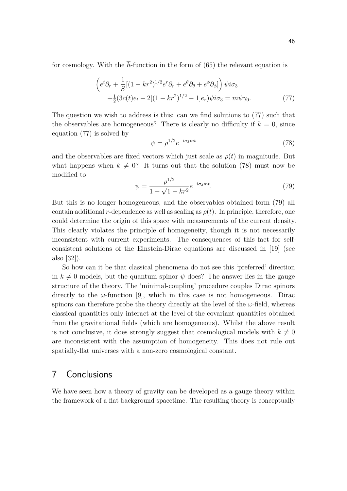for cosmology. With the  $\bar{h}$ -function in the form of (65) the relevant equation is

$$
\begin{aligned}\n\left(e^t \partial_r + \frac{1}{S} [(1 - kr^2)^{1/2} e^r \partial_r + e^\theta \partial_\theta + e^\phi \partial_\phi]\right) \psi i\sigma_3 \\
&+ \frac{1}{2} (3c(t)e_t - 2[(1 - kr^2)^{1/2} - 1]e_r) \psi i\sigma_3 = m\psi \gamma_0.\n\end{aligned} \tag{77}
$$

The question we wish to address is this: can we find solutions to (77) such that the observables are homogeneous? There is clearly no difficulty if  $k = 0$ , since equation (77) is solved by

$$
\psi = \rho^{1/2} e^{-i\sigma_3 mt} \tag{78}
$$

and the observables are fixed vectors which just scale as  $\rho(t)$  in magnitude. But what happens when  $k \neq 0$ ? It turns out that the solution (78) must now be modified to

$$
\psi = \frac{\rho^{1/2}}{1 + \sqrt{1 - kr^2}} e^{-i\sigma_3 mt}.\tag{79}
$$

But this is no longer homogeneous, and the observables obtained form (79) all contain additional *r*-dependence as well as scaling as  $\rho(t)$ . In principle, therefore, one could determine the origin of this space with measurements of the current density. This clearly violates the principle of homogeneity, though it is not necessarily inconsistent with current experiments. The consequences of this fact for selfconsistent solutions of the Einstein-Dirac equations are discussed in [19] (see also [32]).

So how can it be that classical phenomena do not see this 'preferred' direction in  $k \neq 0$  models, but the quantum spinor  $\psi$  does? The answer lies in the gauge structure of the theory. The 'minimal-coupling' procedure couples Dirac spinors directly to the  $\omega$ -function [9], which in this case is not homogeneous. Dirac spinors can therefore probe the theory directly at the level of the  $\omega$ -field, whereas classical quantities only interact at the level of the covariant quantities obtained from the gravitational fields (which are homogeneous). Whilst the above result is not conclusive, it does strongly suggest that cosmological models with  $k \neq 0$ are inconsistent with the assumption of homogeneity. This does not rule out spatially-flat universes with a non-zero cosmological constant.

### 7 Conclusions

We have seen how a theory of gravity can be developed as a gauge theory within the framework of a flat background spacetime. The resulting theory is conceptually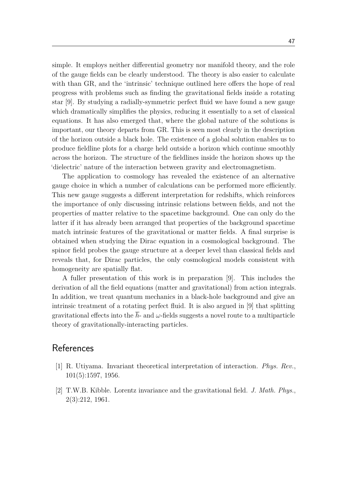simple. It employs neither differential geometry nor manifold theory, and the role of the gauge fields can be clearly understood. The theory is also easier to calculate with than GR, and the 'intrinsic' technique outlined here offers the hope of real progress with problems such as finding the gravitational fields inside a rotating star [9]. By studying a radially-symmetric perfect fluid we have found a new gauge which dramatically simplifies the physics, reducing it essentially to a set of classical equations. It has also emerged that, where the global nature of the solutions is important, our theory departs from GR. This is seen most clearly in the description of the horizon outside a black hole. The existence of a global solution enables us to produce fieldline plots for a charge held outside a horizon which continue smoothly across the horizon. The structure of the fieldlines inside the horizon shows up the 'dielectric' nature of the interaction between gravity and electromagnetism.

The application to cosmology has revealed the existence of an alternative gauge choice in which a number of calculations can be performed more efficiently. This new gauge suggests a different interpretation for redshifts, which reinforces the importance of only discussing intrinsic relations between fields, and not the properties of matter relative to the spacetime background. One can only do the latter if it has already been arranged that properties of the background spacetime match intrinsic features of the gravitational or matter fields. A final surprise is obtained when studying the Dirac equation in a cosmological background. The spinor field probes the gauge structure at a deeper level than classical fields and reveals that, for Dirac particles, the only cosmological models consistent with homogeneity are spatially flat.

A fuller presentation of this work is in preparation [9]. This includes the derivation of all the field equations (matter and gravitational) from action integrals. In addition, we treat quantum mechanics in a black-hole background and give an intrinsic treatment of a rotating perfect fluid. It is also argued in [9] that splitting gravitational effects into the  $\bar{h}$ - and  $\omega$ -fields suggests a novel route to a multiparticle theory of gravitationally-interacting particles.

## **References**

- [1] R. Utiyama. Invariant theoretical interpretation of interaction. *Phys. Rev.*, 101(5):1597, 1956.
- [2] T.W.B. Kibble. Lorentz invariance and the gravitational field. *J. Math. Phys.*, 2(3):212, 1961.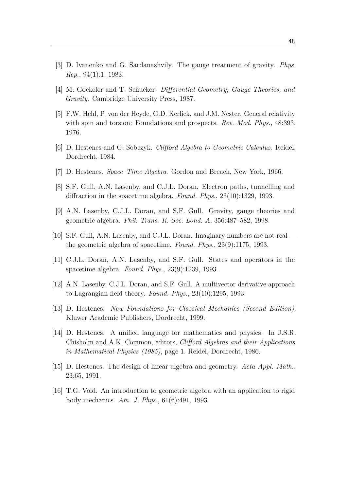- [3] D. Ivanenko and G. Sardanashvily. The gauge treatment of gravity. *Phys. Rep.*, 94(1):1, 1983.
- [4] M. Gockeler and T. Schucker. *Differential Geometry, Gauge Theories, and Gravity*. Cambridge University Press, 1987.
- [5] F.W. Hehl, P. von der Heyde, G.D. Kerlick, and J.M. Nester. General relativity with spin and torsion: Foundations and prospects. *Rev. Mod. Phys.*, 48:393, 1976.
- [6] D. Hestenes and G. Sobczyk. *Clifford Algebra to Geometric Calculus*. Reidel, Dordrecht, 1984.
- [7] D. Hestenes. *Space–Time Algebra*. Gordon and Breach, New York, 1966.
- [8] S.F. Gull, A.N. Lasenby, and C.J.L. Doran. Electron paths, tunnelling and diffraction in the spacetime algebra. *Found. Phys.*, 23(10):1329, 1993.
- [9] A.N. Lasenby, C.J.L. Doran, and S.F. Gull. Gravity, gauge theories and geometric algebra. *Phil. Trans. R. Soc. Lond. A*, 356:487–582, 1998.
- [10] S.F. Gull, A.N. Lasenby, and C.J.L. Doran. Imaginary numbers are not real the geometric algebra of spacetime. *Found. Phys.*, 23(9):1175, 1993.
- [11] C.J.L. Doran, A.N. Lasenby, and S.F. Gull. States and operators in the spacetime algebra. *Found. Phys.*, 23(9):1239, 1993.
- [12] A.N. Lasenby, C.J.L. Doran, and S.F. Gull. A multivector derivative approach to Lagrangian field theory. *Found. Phys.*, 23(10):1295, 1993.
- [13] D. Hestenes. *New Foundations for Classical Mechanics (Second Edition)*. Kluwer Academic Publishers, Dordrecht, 1999.
- [14] D. Hestenes. A unified language for mathematics and physics. In J.S.R. Chisholm and A.K. Common, editors, *Clifford Algebras and their Applications in Mathematical Physics (1985)*, page 1. Reidel, Dordrecht, 1986.
- [15] D. Hestenes. The design of linear algebra and geometry. *Acta Appl. Math.*, 23:65, 1991.
- [16] T.G. Vold. An introduction to geometric algebra with an application to rigid body mechanics. *Am. J. Phys.*, 61(6):491, 1993.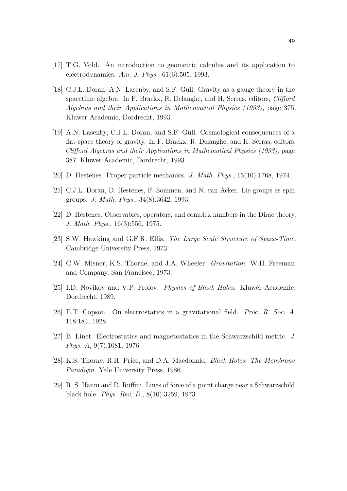- [17] T.G. Vold. An introduction to geometric calculus and its application to electrodynamics. *Am. J. Phys.*, 61(6):505, 1993.
- [18] C.J.L. Doran, A.N. Lasenby, and S.F. Gull. Gravity as a gauge theory in the spacetime algebra. In F. Brackx, R. Delanghe, and H. Serras, editors, *Clifford Algebras and their Applications in Mathematical Physics (1993)*, page 375. Kluwer Academic, Dordrecht, 1993.
- [19] A.N. Lasenby, C.J.L. Doran, and S.F. Gull. Cosmological consequences of a flat-space theory of gravity. In F. Brackx, R. Delanghe, and H. Serras, editors, *Clifford Algebras and their Applications in Mathematical Physics (1993)*, page 387. Kluwer Academic, Dordrecht, 1993.
- [20] D. Hestenes. Proper particle mechanics. *J. Math. Phys.*, 15(10):1768, 1974.
- [21] C.J.L. Doran, D. Hestenes, F. Sommen, and N. van Acker. Lie groups as spin groups. *J. Math. Phys.*, 34(8):3642, 1993.
- [22] D. Hestenes. Observables, operators, and complex numbers in the Dirac theory. *J. Math. Phys.*, 16(3):556, 1975.
- [23] S.W. Hawking and G.F.R. Ellis. *The Large Scale Structure of Space-Time*. Cambridge University Press, 1973.
- [24] C.W. Misner, K.S. Thorne, and J.A. Wheeler. *Gravitation*. W.H. Freeman and Company, San Francisco, 1973.
- [25] I.D. Novikov and V.P. Frolov. *Physics of Black Holes*. Kluwer Academic, Dordrecht, 1989.
- [26] E.T. Copson. On electrostatics in a gravitational field. *Proc. R. Soc. A*, 118:184, 1928.
- [27] B. Linet. Electrostatics and magnetostatics in the Schwarzschild metric. *J. Phys. A*, 9(7):1081, 1976.
- [28] K.S. Thorne, R.H. Price, and D.A. Macdonald. *Black Holes: The Membrane Paradigm*. Yale University Press, 1986.
- [29] R. S. Hanni and R. Ruffini. Lines of force of a point charge near a Schwarzschild black hole. *Phys. Rev. D.*, 8(10):3259, 1973.